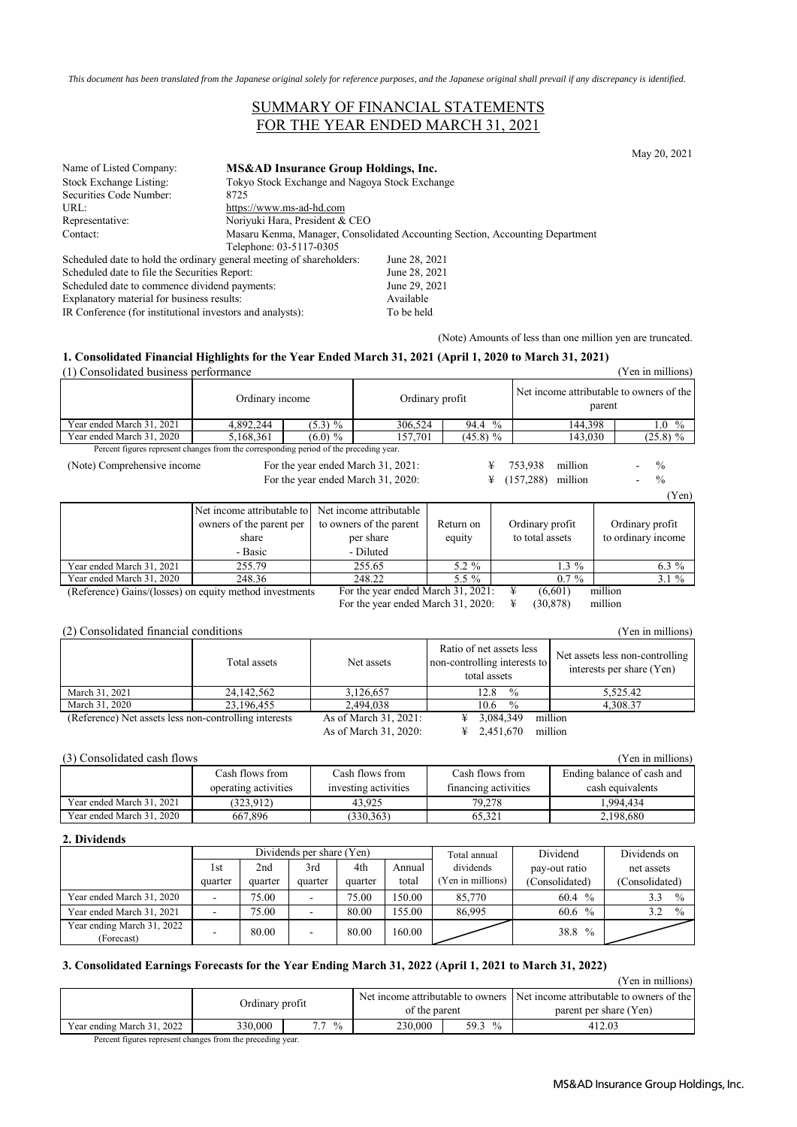*This document has been translated from the Japanese original solely for reference purposes, and the Japanese original shall prevail if any discrepancy is identified.*

## SUMMARY OF FINANCIAL STATEMENTS FOR THE YEAR ENDED MARCH 31, 2021

May 20, 2021

| Name of Listed Company:                                              | MS&AD Insurance Group Holdings, Inc.                                          |               |  |  |
|----------------------------------------------------------------------|-------------------------------------------------------------------------------|---------------|--|--|
| Stock Exchange Listing:                                              | Tokyo Stock Exchange and Nagoya Stock Exchange                                |               |  |  |
| Securities Code Number:                                              | 8725                                                                          |               |  |  |
| URL:                                                                 | https://www.ms-ad-hd.com                                                      |               |  |  |
| Representative:                                                      | Noriyuki Hara, President & CEO                                                |               |  |  |
| Contact:                                                             | Masaru Kenma, Manager, Consolidated Accounting Section, Accounting Department |               |  |  |
|                                                                      | Telephone: 03-5117-0305                                                       |               |  |  |
| Scheduled date to hold the ordinary general meeting of shareholders: |                                                                               | June 28, 2021 |  |  |
| Scheduled date to file the Securities Report:                        |                                                                               | June 28, 2021 |  |  |
| Scheduled date to commence dividend payments:                        |                                                                               | June 29, 2021 |  |  |
| Explanatory material for business results:                           |                                                                               | Available     |  |  |

IR Conference (for institutional investors and analysts): To be held

(Note) Amounts of less than one million yen are truncated.

#### **1. Consolidated Financial Highlights for the Year Ended March 31, 2021 (April 1, 2020 to March 31, 2021)** (1) Consolidated business performance (Yen in millions)

| 11 Consondated business performance                     |                                                                                        |            |                                    |                       |                       | <b>T</b> CH THE HILLINGES                          |
|---------------------------------------------------------|----------------------------------------------------------------------------------------|------------|------------------------------------|-----------------------|-----------------------|----------------------------------------------------|
|                                                         | Ordinary income                                                                        |            | Ordinary profit                    |                       |                       | Net income attributable to owners of the<br>parent |
| Year ended March 31, 2021                               | 4,892,244                                                                              | (5.3) %    | 306,524                            | $\frac{0}{0}$<br>94.4 | 144,398               | $\frac{0}{0}$<br>$1.0\,$                           |
| Year ended March 31, 2020                               | 5,168,361                                                                              | $(6.0) \%$ | 157,701                            | $(45.8)$ %            | 143,030               | $(25.8) \%$                                        |
|                                                         | Percent figures represent changes from the corresponding period of the preceding year. |            |                                    |                       |                       |                                                    |
| (Note) Comprehensive income                             |                                                                                        |            | For the year ended March 31, 2021: | ¥                     | 753,938<br>million    | $\frac{0}{0}$                                      |
|                                                         |                                                                                        |            | For the year ended March 31, 2020: | ¥                     | (157, 288)<br>million | $\%$                                               |
|                                                         |                                                                                        |            |                                    |                       |                       | (Yen)                                              |
|                                                         | Net income attributable to                                                             |            | Net income attributable            |                       |                       |                                                    |
|                                                         | owners of the parent per                                                               |            | to owners of the parent            | Return on             | Ordinary profit       | Ordinary profit                                    |
|                                                         | share                                                                                  | per share  |                                    | equity                | to total assets       | to ordinary income                                 |
|                                                         | - Basic                                                                                |            | - Diluted                          |                       |                       |                                                    |
| Year ended March 31, 2021                               | 255.79                                                                                 |            | 255.65                             | $5.2 \%$              | $1.3\%$               | $6.3\%$                                            |
| Year ended March 31, 2020                               | 248.36                                                                                 |            | 248.22                             | 5.5 $%$               | $0.7\%$               | $3.1\%$                                            |
| (Reference) Gains/(losses) on equity method investments |                                                                                        |            | For the year ended March 31, 2021: |                       | ¥<br>(6,601)          | million                                            |
|                                                         |                                                                                        |            | For the year ended March 31, 2020: |                       | ¥<br>(30, 878)        | million                                            |
|                                                         |                                                                                        |            |                                    |                       |                       |                                                    |

#### (2) Consolidated financial conditions (Yen in millions)

|                                                       | Total assets | Net assets            | Ratio of net assets less<br>non-controlling interests to<br>total assets | Net assets less non-controlling<br>interests per share (Yen) |
|-------------------------------------------------------|--------------|-----------------------|--------------------------------------------------------------------------|--------------------------------------------------------------|
| March 31, 2021                                        | 24, 142, 562 | 3,126,657             | $\frac{0}{0}$<br>12.8                                                    | 5.525.42                                                     |
| March 31, 2020                                        | 23.196.455   | 2.494.038             | $\frac{0}{0}$<br>10.6                                                    | 4,308.37                                                     |
| (Reference) Net assets less non-controlling interests |              | As of March 31, 2021: | 3,084,349<br>¥                                                           | million                                                      |
|                                                       |              | As of March 31, 2020: | $\frac{1}{2}$ 2.451.670                                                  | million                                                      |

### (3) Consolidated cash flows (Yen in millions)

|                           | Cash flows from      | Cash flows from      | Cash flows from      | Ending balance of cash and |
|---------------------------|----------------------|----------------------|----------------------|----------------------------|
|                           | operating activities | investing activities | financing activities | cash equivalents           |
| Year ended March 31, 2021 | (323.912)            | 43.925               | 79.278               | .994.434                   |
| Year ended March 31, 2020 | 667,896              | (330, 363)           | 65.321               | 2.198.680                  |

#### **2. Dividends**

|                                          | Dividends per share (Yen) |         |                          | Total annual | Dividend | Dividends on     |                       |                      |
|------------------------------------------|---------------------------|---------|--------------------------|--------------|----------|------------------|-----------------------|----------------------|
|                                          | 1st                       | 2nd     | 3rd                      | 4th          | Annual   | dividends        | pay-out ratio         | net assets           |
|                                          | quarter                   | quarter | quarter                  | quarter      | total    | Yen in millions) | (Consolidated)        | (Consolidated)       |
| Year ended March 31, 2020                | -                         | 75.00   | $\overline{\phantom{a}}$ | 75.00        | 150.00   | 85,770           | 60.4<br>$\frac{0}{0}$ | $\frac{0}{0}$<br>3.3 |
| Year ended March 31, 2021                |                           | 75.00   |                          | 80.00        | 155.00   | 86.995           | 60.6 $%$              | $\frac{0}{0}$<br>3.2 |
| Year ending March 31, 2022<br>(Forecast) |                           | 80.00   | $\overline{\phantom{a}}$ | 80.00        | 160.00   |                  | 38.8 %                |                      |

## **3. Consolidated Earnings Forecasts for the Year Ending March 31, 2022 (April 1, 2021 to March 31, 2022)**

|                            |         |                     |         |                       | 1 VII III IIIIIIIVIIV                                                      |
|----------------------------|---------|---------------------|---------|-----------------------|----------------------------------------------------------------------------|
|                            |         |                     |         |                       | Net income attributable to owners Net income attributable to owners of the |
|                            |         | Ordinary profit     |         | of the parent         | parent per share (Yen)                                                     |
| Year ending March 31, 2022 | 330,000 | $\frac{0}{0}$<br>77 | 230,000 | 59.3<br>$\frac{0}{0}$ | 412.03                                                                     |
| $\sim$                     |         |                     |         |                       |                                                                            |

Percent figures represent changes from the preceding year.

(Yen in millions)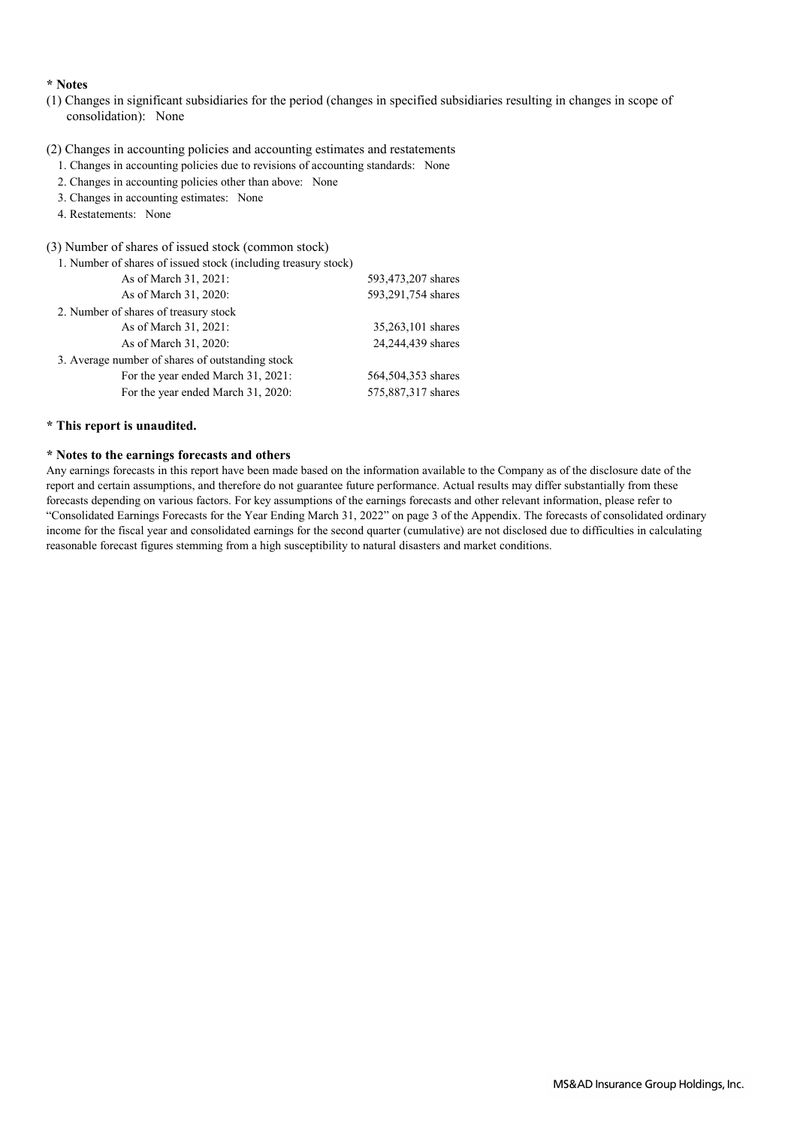### **\* Notes**

- (1) Changes in significant subsidiaries for the period (changes in specified subsidiaries resulting in changes in scope of consolidation): None
- (2) Changes in accounting policies and accounting estimates and restatements
	- 1. Changes in accounting policies due to revisions of accounting standards: None
	- 2. Changes in accounting policies other than above: None
	- 3. Changes in accounting estimates: None
	- 4. Restatements: None

#### (3) Number of shares of issued stock (common stock)

| 1. Number of shares of issued stock (including treasury stock) |                    |
|----------------------------------------------------------------|--------------------|
| As of March 31, 2021:                                          | 593,473,207 shares |
| As of March 31, 2020:                                          | 593,291,754 shares |
| 2. Number of shares of treasury stock                          |                    |
| As of March 31, 2021:                                          | 35,263,101 shares  |
| As of March 31, 2020:                                          | 24,244,439 shares  |
| 3. Average number of shares of outstanding stock               |                    |
| For the year ended March 31, 2021:                             | 564,504,353 shares |
| For the year ended March 31, 2020:                             | 575,887,317 shares |
|                                                                |                    |

## **\* This report is unaudited.**

## **\* Notes to the earnings forecasts and others**

Any earnings forecasts in this report have been made based on the information available to the Company as of the disclosure date of the report and certain assumptions, and therefore do not guarantee future performance. Actual results may differ substantially from these forecasts depending on various factors. For key assumptions of the earnings forecasts and other relevant information, please refer to "Consolidated Earnings Forecasts for the Year Ending March 31, 2022" on page 3 of the Appendix. The forecasts of consolidated ordinary income for the fiscal year and consolidated earnings for the second quarter (cumulative) are not disclosed due to difficulties in calculating reasonable forecast figures stemming from a high susceptibility to natural disasters and market conditions.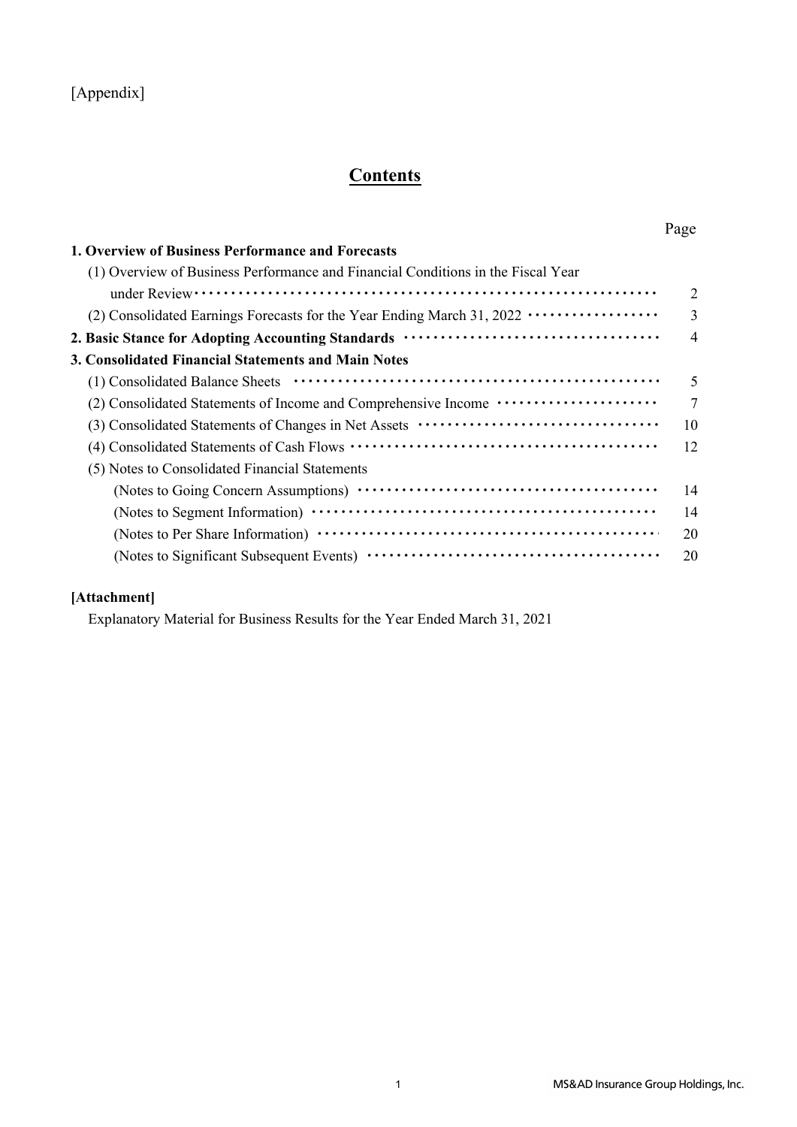## [Appendix]

# **Contents**

| 1. Overview of Business Performance and Forecasts                                        |                |
|------------------------------------------------------------------------------------------|----------------|
| (1) Overview of Business Performance and Financial Conditions in the Fiscal Year         |                |
|                                                                                          | $\overline{2}$ |
| (2) Consolidated Earnings Forecasts for the Year Ending March 31, 2022 ················· | 3              |
|                                                                                          | $\overline{4}$ |
| 3. Consolidated Financial Statements and Main Notes                                      |                |
|                                                                                          | 5              |
| (2) Consolidated Statements of Income and Comprehensive Income ······················    | 7              |
|                                                                                          | 10             |
|                                                                                          | 12             |
| (5) Notes to Consolidated Financial Statements                                           |                |
|                                                                                          | 14             |
|                                                                                          | 14             |
|                                                                                          | 20             |
|                                                                                          | 20             |
|                                                                                          |                |

## **[Attachment]**

Explanatory Material for Business Results for the Year Ended March 31, 2021

Page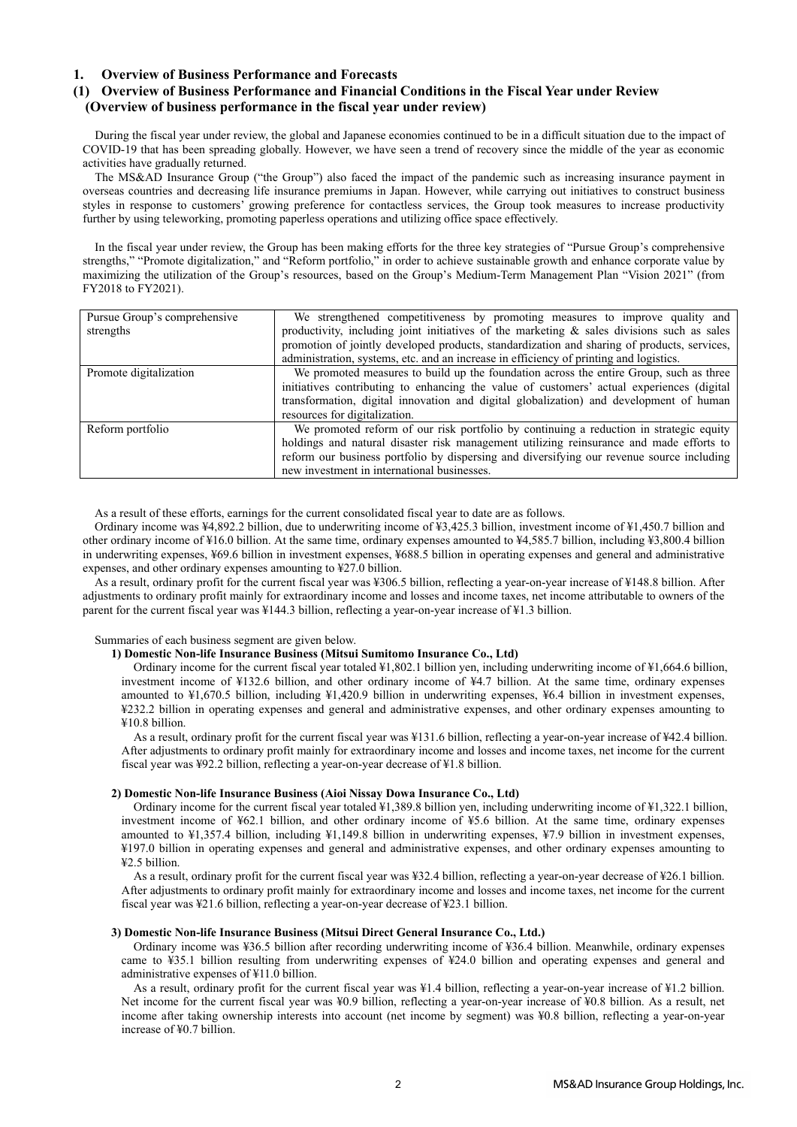#### **1. Overview of Business Performance and Forecasts**

## **(1) Overview of Business Performance and Financial Conditions in the Fiscal Year under Review (Overview of business performance in the fiscal year under review)**

During the fiscal year under review, the global and Japanese economies continued to be in a difficult situation due to the impact of COVID-19 that has been spreading globally. However, we have seen a trend of recovery since the middle of the year as economic activities have gradually returned.

The MS&AD Insurance Group ("the Group") also faced the impact of the pandemic such as increasing insurance payment in overseas countries and decreasing life insurance premiums in Japan. However, while carrying out initiatives to construct business styles in response to customers' growing preference for contactless services, the Group took measures to increase productivity further by using teleworking, promoting paperless operations and utilizing office space effectively.

In the fiscal year under review, the Group has been making efforts for the three key strategies of "Pursue Group's comprehensive strengths," "Promote digitalization," and "Reform portfolio," in order to achieve sustainable growth and enhance corporate value by maximizing the utilization of the Group's resources, based on the Group's Medium-Term Management Plan "Vision 2021" (from FY2018 to FY2021).

| Pursue Group's comprehensive | We strengthened competitiveness by promoting measures to improve quality and                  |
|------------------------------|-----------------------------------------------------------------------------------------------|
| strengths                    | productivity, including joint initiatives of the marketing $\&$ sales divisions such as sales |
|                              | promotion of jointly developed products, standardization and sharing of products, services,   |
|                              | administration, systems, etc. and an increase in efficiency of printing and logistics.        |
| Promote digitalization       | We promoted measures to build up the foundation across the entire Group, such as three        |
|                              | initiatives contributing to enhancing the value of customers' actual experiences (digital     |
|                              | transformation, digital innovation and digital globalization) and development of human        |
|                              | resources for digitalization.                                                                 |
| Reform portfolio             | We promoted reform of our risk portfolio by continuing a reduction in strategic equity        |
|                              | holdings and natural disaster risk management utilizing reinsurance and made efforts to       |
|                              | reform our business portfolio by dispersing and diversifying our revenue source including     |
|                              | new investment in international businesses.                                                   |

As a result of these efforts, earnings for the current consolidated fiscal year to date are as follows.

Ordinary income was ¥4,892.2 billion, due to underwriting income of ¥3,425.3 billion, investment income of ¥1,450.7 billion and other ordinary income of ¥16.0 billion. At the same time, ordinary expenses amounted to ¥4,585.7 billion, including ¥3,800.4 billion in underwriting expenses, ¥69.6 billion in investment expenses, ¥688.5 billion in operating expenses and general and administrative expenses, and other ordinary expenses amounting to ¥27.0 billion.

As a result, ordinary profit for the current fiscal year was ¥306.5 billion, reflecting a year-on-year increase of ¥148.8 billion. After adjustments to ordinary profit mainly for extraordinary income and losses and income taxes, net income attributable to owners of the parent for the current fiscal year was ¥144.3 billion, reflecting a year-on-year increase of ¥1.3 billion.

#### Summaries of each business segment are given below.

## **1) Domestic Non-life Insurance Business (Mitsui Sumitomo Insurance Co., Ltd)**

Ordinary income for the current fiscal year totaled ¥1,802.1 billion yen, including underwriting income of ¥1,664.6 billion, investment income of ¥132.6 billion, and other ordinary income of ¥4.7 billion. At the same time, ordinary expenses amounted to ¥1,670.5 billion, including ¥1,420.9 billion in underwriting expenses, ¥6.4 billion in investment expenses, ¥232.2 billion in operating expenses and general and administrative expenses, and other ordinary expenses amounting to ¥10.8 billion.

As a result, ordinary profit for the current fiscal year was ¥131.6 billion, reflecting a year-on-year increase of ¥42.4 billion. After adjustments to ordinary profit mainly for extraordinary income and losses and income taxes, net income for the current fiscal year was ¥92.2 billion, reflecting a year-on-year decrease of ¥1.8 billion.

#### **2) Domestic Non-life Insurance Business (Aioi Nissay Dowa Insurance Co., Ltd)**

Ordinary income for the current fiscal year totaled ¥1,389.8 billion yen, including underwriting income of ¥1,322.1 billion, investment income of ¥62.1 billion, and other ordinary income of ¥5.6 billion. At the same time, ordinary expenses amounted to ¥1,357.4 billion, including ¥1,149.8 billion in underwriting expenses, ¥7.9 billion in investment expenses, ¥197.0 billion in operating expenses and general and administrative expenses, and other ordinary expenses amounting to ¥2.5 billion.

As a result, ordinary profit for the current fiscal year was ¥32.4 billion, reflecting a year-on-year decrease of ¥26.1 billion. After adjustments to ordinary profit mainly for extraordinary income and losses and income taxes, net income for the current fiscal year was ¥21.6 billion, reflecting a year-on-year decrease of ¥23.1 billion.

#### **3) Domestic Non-life Insurance Business (Mitsui Direct General Insurance Co., Ltd.)**

Ordinary income was ¥36.5 billion after recording underwriting income of ¥36.4 billion. Meanwhile, ordinary expenses came to ¥35.1 billion resulting from underwriting expenses of ¥24.0 billion and operating expenses and general and administrative expenses of ¥11.0 billion.

As a result, ordinary profit for the current fiscal year was ¥1.4 billion, reflecting a year-on-year increase of ¥1.2 billion. Net income for the current fiscal year was ¥0.9 billion, reflecting a year-on-year increase of ¥0.8 billion. As a result, net income after taking ownership interests into account (net income by segment) was ¥0.8 billion, reflecting a year-on-year increase of ¥0.7 billion.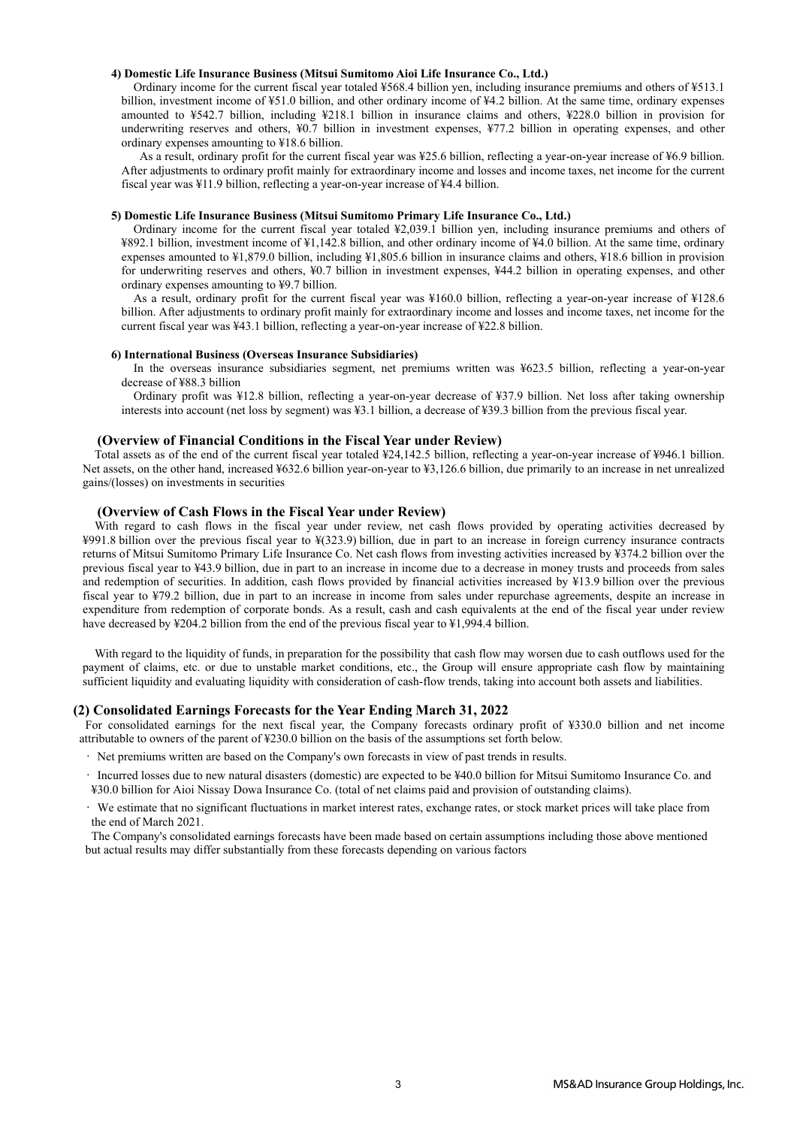#### **4) Domestic Life Insurance Business (Mitsui Sumitomo Aioi Life Insurance Co., Ltd.)**

Ordinary income for the current fiscal year totaled ¥568.4 billion yen, including insurance premiums and others of ¥513.1 billion, investment income of ¥51.0 billion, and other ordinary income of ¥4.2 billion. At the same time, ordinary expenses amounted to ¥542.7 billion, including ¥218.1 billion in insurance claims and others, ¥228.0 billion in provision for underwriting reserves and others, ¥0.7 billion in investment expenses, ¥77.2 billion in operating expenses, and other ordinary expenses amounting to ¥18.6 billion.

 As a result, ordinary profit for the current fiscal year was ¥25.6 billion, reflecting a year-on-year increase of ¥6.9 billion. After adjustments to ordinary profit mainly for extraordinary income and losses and income taxes, net income for the current fiscal year was ¥11.9 billion, reflecting a year-on-year increase of ¥4.4 billion.

#### **5) Domestic Life Insurance Business (Mitsui Sumitomo Primary Life Insurance Co., Ltd.)**

Ordinary income for the current fiscal year totaled ¥2,039.1 billion yen, including insurance premiums and others of ¥892.1 billion, investment income of ¥1,142.8 billion, and other ordinary income of ¥4.0 billion. At the same time, ordinary expenses amounted to ¥1,879.0 billion, including ¥1,805.6 billion in insurance claims and others, ¥18.6 billion in provision for underwriting reserves and others, ¥0.7 billion in investment expenses, ¥44.2 billion in operating expenses, and other ordinary expenses amounting to ¥9.7 billion.

As a result, ordinary profit for the current fiscal year was ¥160.0 billion, reflecting a year-on-year increase of ¥128.6 billion. After adjustments to ordinary profit mainly for extraordinary income and losses and income taxes, net income for the current fiscal year was ¥43.1 billion, reflecting a year-on-year increase of ¥22.8 billion.

#### **6) International Business (Overseas Insurance Subsidiaries)**

In the overseas insurance subsidiaries segment, net premiums written was ¥623.5 billion, reflecting a year-on-year decrease of ¥88.3 billion

Ordinary profit was ¥12.8 billion, reflecting a year-on-year decrease of ¥37.9 billion. Net loss after taking ownership interests into account (net loss by segment) was ¥3.1 billion, a decrease of ¥39.3 billion from the previous fiscal year.

#### **(Overview of Financial Conditions in the Fiscal Year under Review)**

Total assets as of the end of the current fiscal year totaled ¥24,142.5 billion, reflecting a year-on-year increase of ¥946.1 billion. Net assets, on the other hand, increased ¥632.6 billion year-on-year to ¥3,126.6 billion, due primarily to an increase in net unrealized gains/(losses) on investments in securities

#### **(Overview of Cash Flows in the Fiscal Year under Review)**

With regard to cash flows in the fiscal year under review, net cash flows provided by operating activities decreased by ¥991.8 billion over the previous fiscal year to ¥(323.9) billion, due in part to an increase in foreign currency insurance contracts returns of Mitsui Sumitomo Primary Life Insurance Co. Net cash flows from investing activities increased by ¥374.2 billion over the previous fiscal year to ¥43.9 billion, due in part to an increase in income due to a decrease in money trusts and proceeds from sales and redemption of securities. In addition, cash flows provided by financial activities increased by ¥13.9 billion over the previous fiscal year to ¥79.2 billion, due in part to an increase in income from sales under repurchase agreements, despite an increase in expenditure from redemption of corporate bonds. As a result, cash and cash equivalents at the end of the fiscal year under review have decreased by ¥204.2 billion from the end of the previous fiscal year to ¥1,994.4 billion.

With regard to the liquidity of funds, in preparation for the possibility that cash flow may worsen due to cash outflows used for the payment of claims, etc. or due to unstable market conditions, etc., the Group will ensure appropriate cash flow by maintaining sufficient liquidity and evaluating liquidity with consideration of cash-flow trends, taking into account both assets and liabilities.

#### **(2) Consolidated Earnings Forecasts for the Year Ending March 31, 2022**

For consolidated earnings for the next fiscal year, the Company forecasts ordinary profit of ¥330.0 billion and net income attributable to owners of the parent of ¥230.0 billion on the basis of the assumptions set forth below.

- Net premiums written are based on the Company's own forecasts in view of past trends in results.
- Incurred losses due to new natural disasters (domestic) are expected to be ¥40.0 billion for Mitsui Sumitomo Insurance Co. and ¥30.0 billion for Aioi Nissay Dowa Insurance Co. (total of net claims paid and provision of outstanding claims).
- We estimate that no significant fluctuations in market interest rates, exchange rates, or stock market prices will take place from the end of March 2021.

The Company's consolidated earnings forecasts have been made based on certain assumptions including those above mentioned but actual results may differ substantially from these forecasts depending on various factors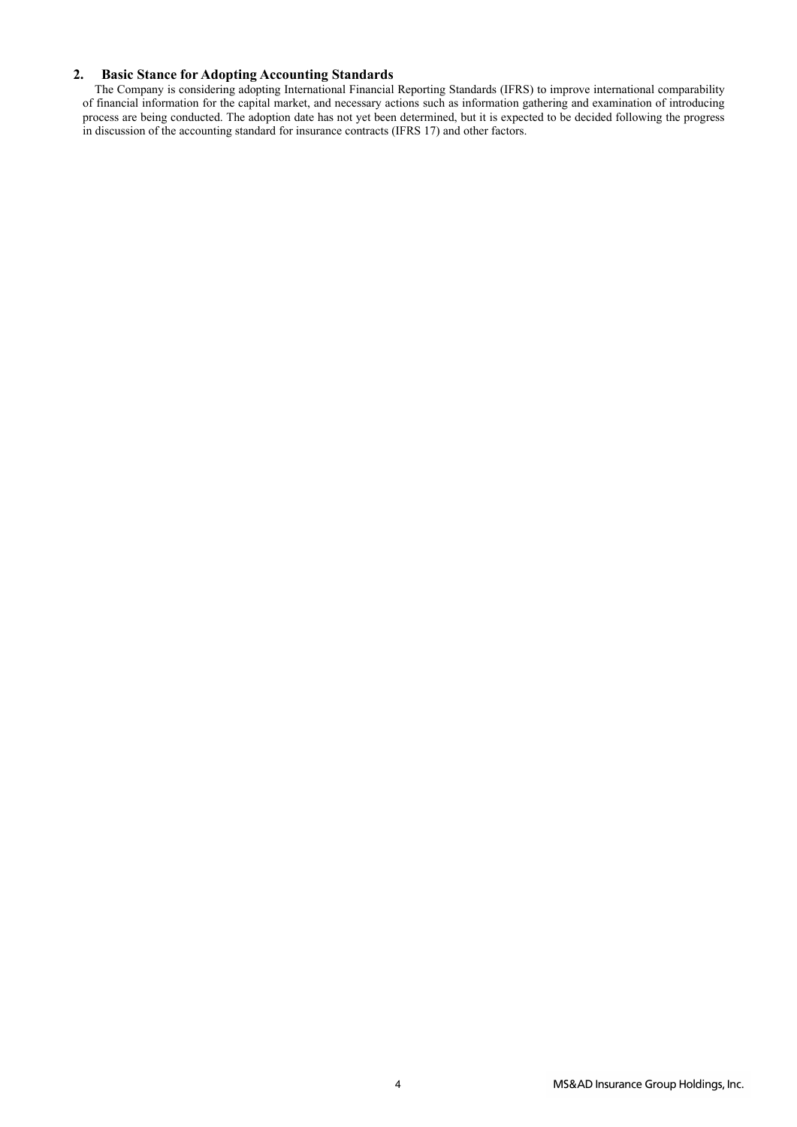## **2. Basic Stance for Adopting Accounting Standards**

The Company is considering adopting International Financial Reporting Standards (IFRS) to improve international comparability of financial information for the capital market, and necessary actions such as information gathering and examination of introducing process are being conducted. The adoption date has not yet been determined, but it is expected to be decided following the progress in discussion of the accounting standard for insurance contracts (IFRS 17) and other factors.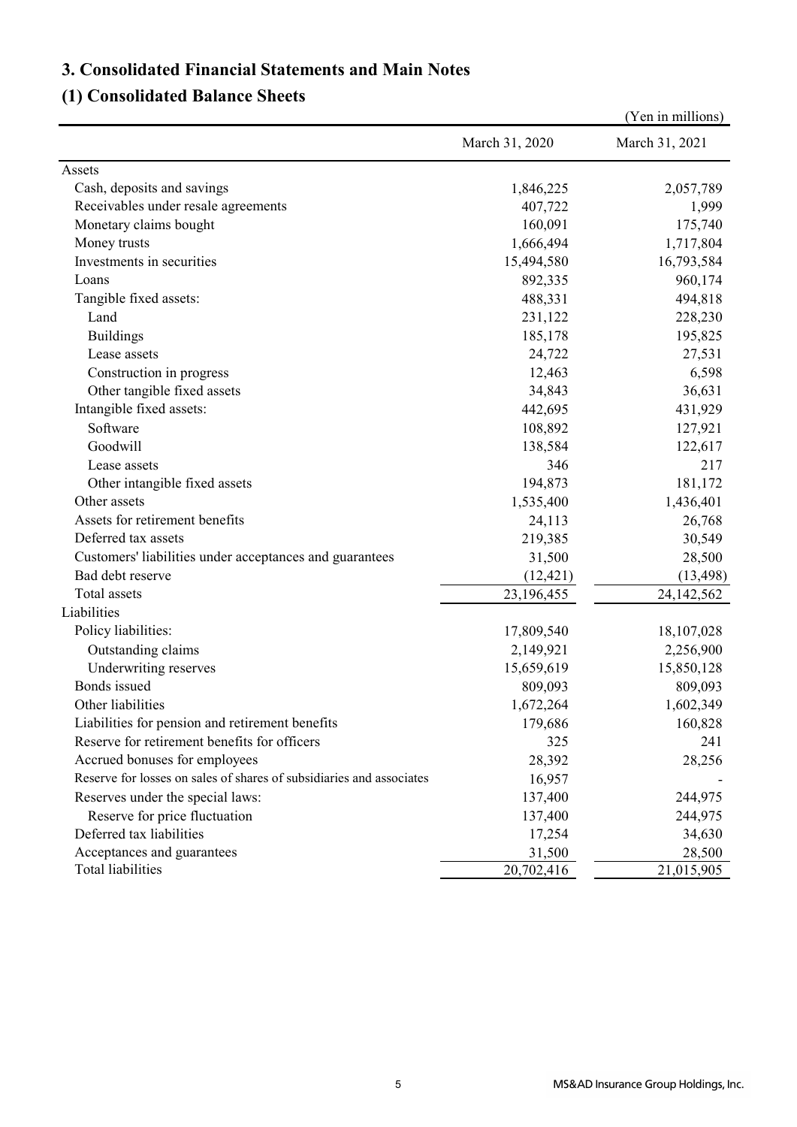# **3. Consolidated Financial Statements and Main Notes**

# **(1) Consolidated Balance Sheets**

|                                                                      |                | (Yen in millions) |
|----------------------------------------------------------------------|----------------|-------------------|
|                                                                      | March 31, 2020 | March 31, 2021    |
| Assets                                                               |                |                   |
| Cash, deposits and savings                                           | 1,846,225      | 2,057,789         |
| Receivables under resale agreements                                  | 407,722        | 1,999             |
| Monetary claims bought                                               | 160,091        | 175,740           |
| Money trusts                                                         | 1,666,494      | 1,717,804         |
| Investments in securities                                            | 15,494,580     | 16,793,584        |
| Loans                                                                | 892,335        | 960,174           |
| Tangible fixed assets:                                               | 488,331        | 494,818           |
| Land                                                                 | 231,122        | 228,230           |
| <b>Buildings</b>                                                     | 185,178        | 195,825           |
| Lease assets                                                         | 24,722         | 27,531            |
| Construction in progress                                             | 12,463         | 6,598             |
| Other tangible fixed assets                                          | 34,843         | 36,631            |
| Intangible fixed assets:                                             | 442,695        | 431,929           |
| Software                                                             | 108,892        | 127,921           |
| Goodwill                                                             | 138,584        | 122,617           |
| Lease assets                                                         | 346            | 217               |
| Other intangible fixed assets                                        | 194,873        | 181,172           |
| Other assets                                                         | 1,535,400      | 1,436,401         |
| Assets for retirement benefits                                       | 24,113         | 26,768            |
| Deferred tax assets                                                  | 219,385        | 30,549            |
| Customers' liabilities under acceptances and guarantees              | 31,500         | 28,500            |
| Bad debt reserve                                                     | (12, 421)      | (13, 498)         |
| Total assets                                                         | 23,196,455     | 24,142,562        |
| Liabilities                                                          |                |                   |
| Policy liabilities:                                                  | 17,809,540     | 18,107,028        |
| Outstanding claims                                                   | 2,149,921      | 2,256,900         |
| Underwriting reserves                                                | 15,659,619     | 15,850,128        |
| Bonds issued                                                         | 809,093        | 809,093           |
| Other liabilities                                                    | 1,672,264      | 1,602,349         |
| Liabilities for pension and retirement benefits                      | 179,686        | 160,828           |
| Reserve for retirement benefits for officers                         | 325            | 241               |
| Accrued bonuses for employees                                        | 28,392         | 28,256            |
| Reserve for losses on sales of shares of subsidiaries and associates | 16,957         |                   |
| Reserves under the special laws:                                     | 137,400        | 244,975           |
| Reserve for price fluctuation                                        | 137,400        | 244,975           |
| Deferred tax liabilities                                             | 17,254         | 34,630            |
| Acceptances and guarantees                                           | 31,500         | 28,500            |
| Total liabilities                                                    | 20,702,416     | 21,015,905        |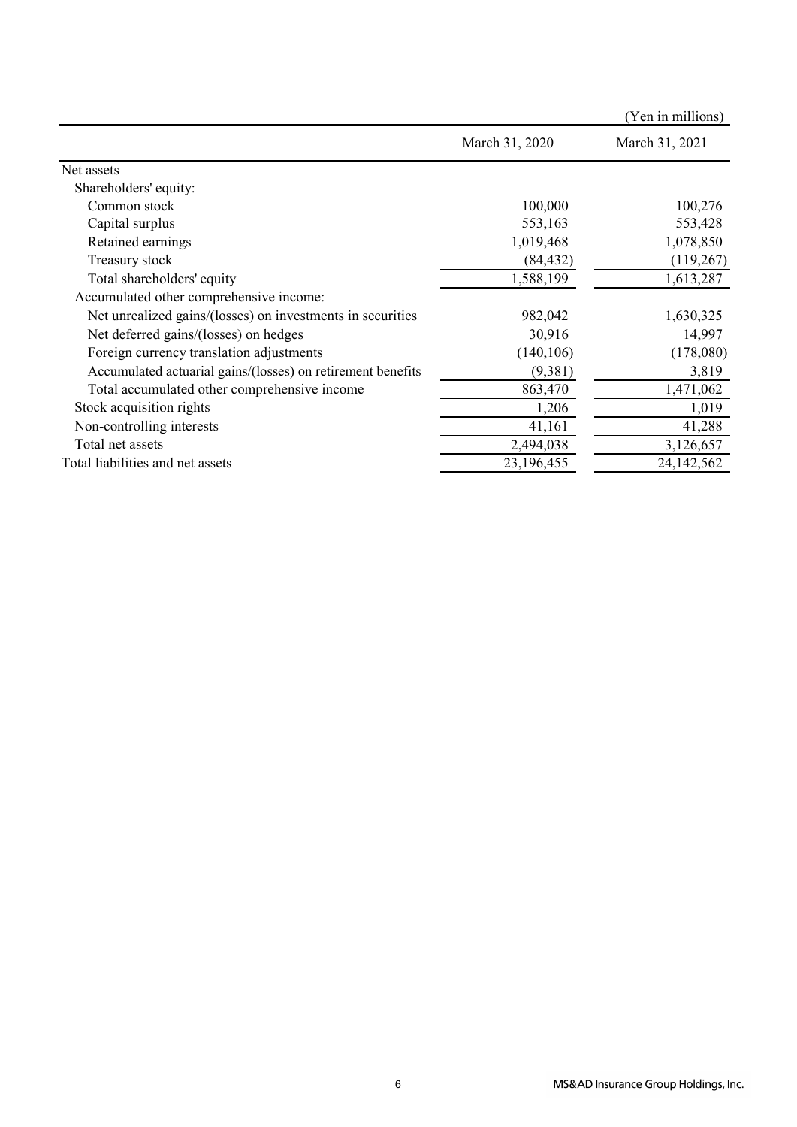|                                                             |                | (Yen in millions) |
|-------------------------------------------------------------|----------------|-------------------|
|                                                             | March 31, 2020 | March 31, 2021    |
| Net assets                                                  |                |                   |
| Shareholders' equity:                                       |                |                   |
| Common stock                                                | 100,000        | 100,276           |
| Capital surplus                                             | 553,163        | 553,428           |
| Retained earnings                                           | 1,019,468      | 1,078,850         |
| Treasury stock                                              | (84, 432)      | (119,267)         |
| Total shareholders' equity                                  | 1,588,199      | 1,613,287         |
| Accumulated other comprehensive income:                     |                |                   |
| Net unrealized gains/(losses) on investments in securities  | 982,042        | 1,630,325         |
| Net deferred gains/(losses) on hedges                       | 30,916         | 14,997            |
| Foreign currency translation adjustments                    | (140, 106)     | (178,080)         |
| Accumulated actuarial gains/(losses) on retirement benefits | (9,381)        | 3,819             |
| Total accumulated other comprehensive income                | 863,470        | 1,471,062         |
| Stock acquisition rights                                    | 1,206          | 1,019             |
| Non-controlling interests                                   | 41,161         | 41,288            |
| Total net assets                                            | 2,494,038      | 3,126,657         |
| Total liabilities and net assets                            | 23,196,455     | 24,142,562        |
|                                                             |                |                   |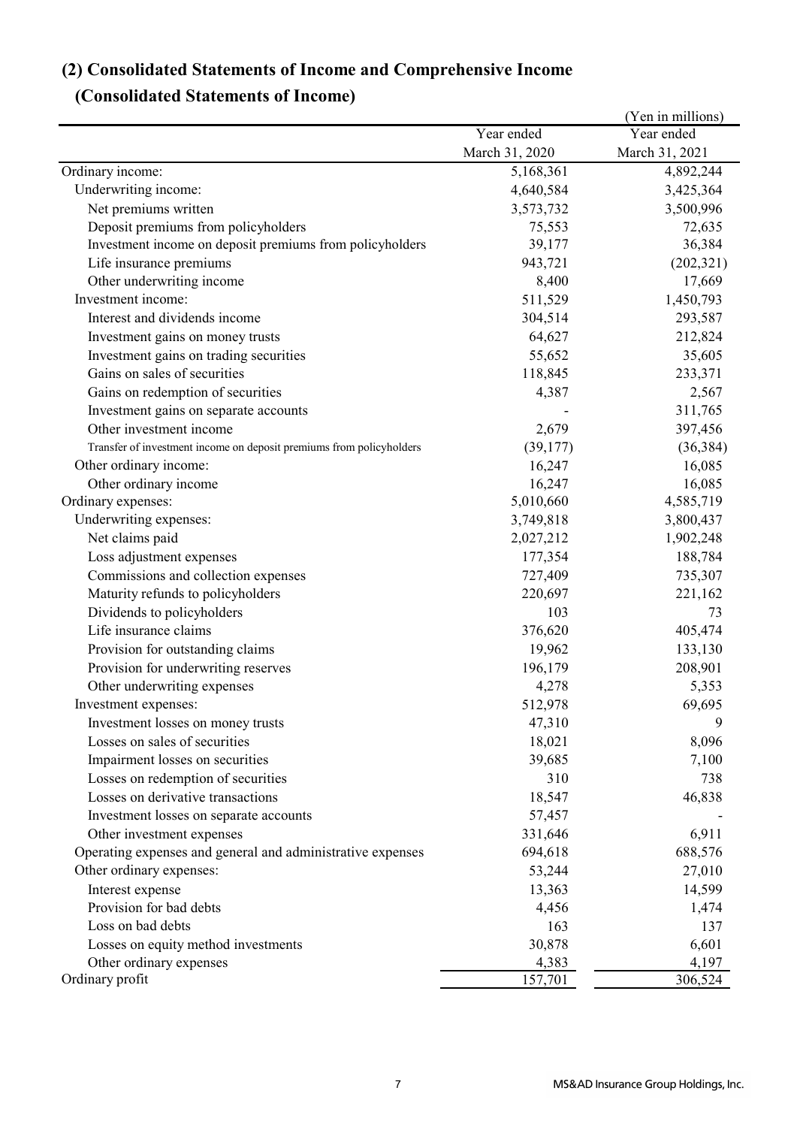# **(2) Consolidated Statements of Income and Comprehensive Income**

# **(Consolidated Statements of Income)**

|                                                                      |                | (Yen in millions) |
|----------------------------------------------------------------------|----------------|-------------------|
|                                                                      | Year ended     | Year ended        |
|                                                                      | March 31, 2020 | March 31, 2021    |
| Ordinary income:                                                     | 5,168,361      | 4,892,244         |
| Underwriting income:                                                 | 4,640,584      | 3,425,364         |
| Net premiums written                                                 | 3,573,732      | 3,500,996         |
| Deposit premiums from policyholders                                  | 75,553         | 72,635            |
| Investment income on deposit premiums from policyholders             | 39,177         | 36,384            |
| Life insurance premiums                                              | 943,721        | (202, 321)        |
| Other underwriting income                                            | 8,400          | 17,669            |
| Investment income:                                                   | 511,529        | 1,450,793         |
| Interest and dividends income                                        | 304,514        | 293,587           |
| Investment gains on money trusts                                     | 64,627         | 212,824           |
| Investment gains on trading securities                               | 55,652         | 35,605            |
| Gains on sales of securities                                         | 118,845        | 233,371           |
| Gains on redemption of securities                                    | 4,387          | 2,567             |
| Investment gains on separate accounts                                |                | 311,765           |
| Other investment income                                              | 2,679          | 397,456           |
| Transfer of investment income on deposit premiums from policyholders | (39,177)       | (36, 384)         |
| Other ordinary income:                                               | 16,247         | 16,085            |
| Other ordinary income                                                | 16,247         | 16,085            |
| Ordinary expenses:                                                   | 5,010,660      | 4,585,719         |
| Underwriting expenses:                                               | 3,749,818      | 3,800,437         |
| Net claims paid                                                      | 2,027,212      | 1,902,248         |
| Loss adjustment expenses                                             | 177,354        | 188,784           |
| Commissions and collection expenses                                  | 727,409        | 735,307           |
| Maturity refunds to policyholders                                    | 220,697        | 221,162           |
| Dividends to policyholders                                           | 103            | 73                |
| Life insurance claims                                                | 376,620        | 405,474           |
| Provision for outstanding claims                                     | 19,962         | 133,130           |
| Provision for underwriting reserves                                  | 196,179        | 208,901           |
| Other underwriting expenses                                          | 4,278          | 5,353             |
| Investment expenses:                                                 | 512,978        | 69,695            |
| Investment losses on money trusts                                    | 47,310         | 9                 |
| Losses on sales of securities                                        | 18,021         | 8,096             |
| Impairment losses on securities                                      | 39,685         | 7,100             |
| Losses on redemption of securities                                   | 310            | 738               |
| Losses on derivative transactions                                    | 18,547         | 46,838            |
| Investment losses on separate accounts                               | 57,457         |                   |
| Other investment expenses                                            | 331,646        | 6,911             |
| Operating expenses and general and administrative expenses           | 694,618        | 688,576           |
| Other ordinary expenses:                                             | 53,244         | 27,010            |
| Interest expense                                                     | 13,363         | 14,599            |
| Provision for bad debts                                              | 4,456          | 1,474             |
| Loss on bad debts                                                    | 163            | 137               |
| Losses on equity method investments                                  | 30,878         | 6,601             |
| Other ordinary expenses                                              | 4,383          | 4,197             |
| Ordinary profit                                                      | 157,701        | 306,524           |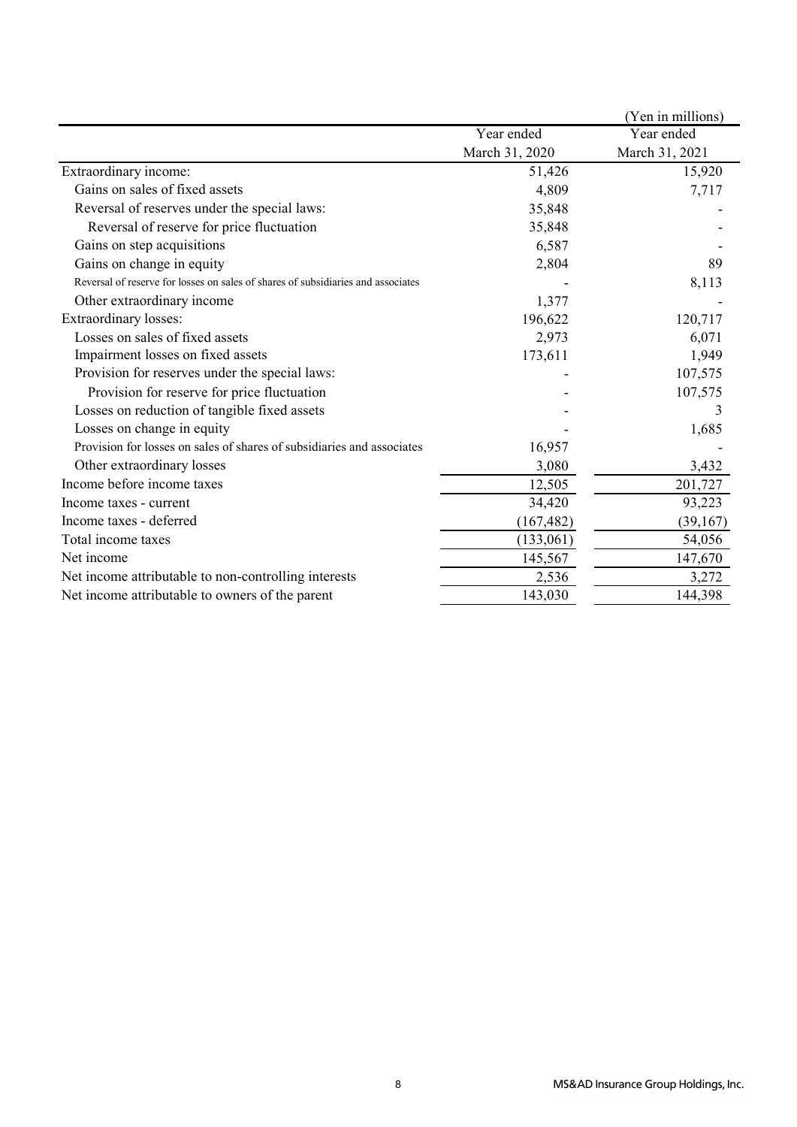|                                                                                  |                | (Yen in millions) |
|----------------------------------------------------------------------------------|----------------|-------------------|
|                                                                                  | Year ended     | Year ended        |
|                                                                                  | March 31, 2020 | March 31, 2021    |
| Extraordinary income:                                                            | 51,426         | 15,920            |
| Gains on sales of fixed assets                                                   | 4,809          | 7,717             |
| Reversal of reserves under the special laws:                                     | 35,848         |                   |
| Reversal of reserve for price fluctuation                                        | 35,848         |                   |
| Gains on step acquisitions                                                       | 6,587          |                   |
| Gains on change in equity                                                        | 2,804          | 89                |
| Reversal of reserve for losses on sales of shares of subsidiaries and associates |                | 8,113             |
| Other extraordinary income                                                       | 1,377          |                   |
| Extraordinary losses:                                                            | 196,622        | 120,717           |
| Losses on sales of fixed assets                                                  | 2,973          | 6,071             |
| Impairment losses on fixed assets                                                | 173,611        | 1,949             |
| Provision for reserves under the special laws:                                   |                | 107,575           |
| Provision for reserve for price fluctuation                                      |                | 107,575           |
| Losses on reduction of tangible fixed assets                                     |                |                   |
| Losses on change in equity                                                       |                | 1,685             |
| Provision for losses on sales of shares of subsidiaries and associates           | 16,957         |                   |
| Other extraordinary losses                                                       | 3,080          | 3,432             |
| Income before income taxes                                                       | 12,505         | 201,727           |
| Income taxes - current                                                           | 34,420         | 93,223            |
| Income taxes - deferred                                                          | (167, 482)     | (39,167)          |
| Total income taxes                                                               | (133,061)      | 54,056            |
| Net income                                                                       | 145,567        | 147,670           |
| Net income attributable to non-controlling interests                             | 2,536          | 3,272             |
| Net income attributable to owners of the parent                                  | 143,030        | 144,398           |
|                                                                                  |                |                   |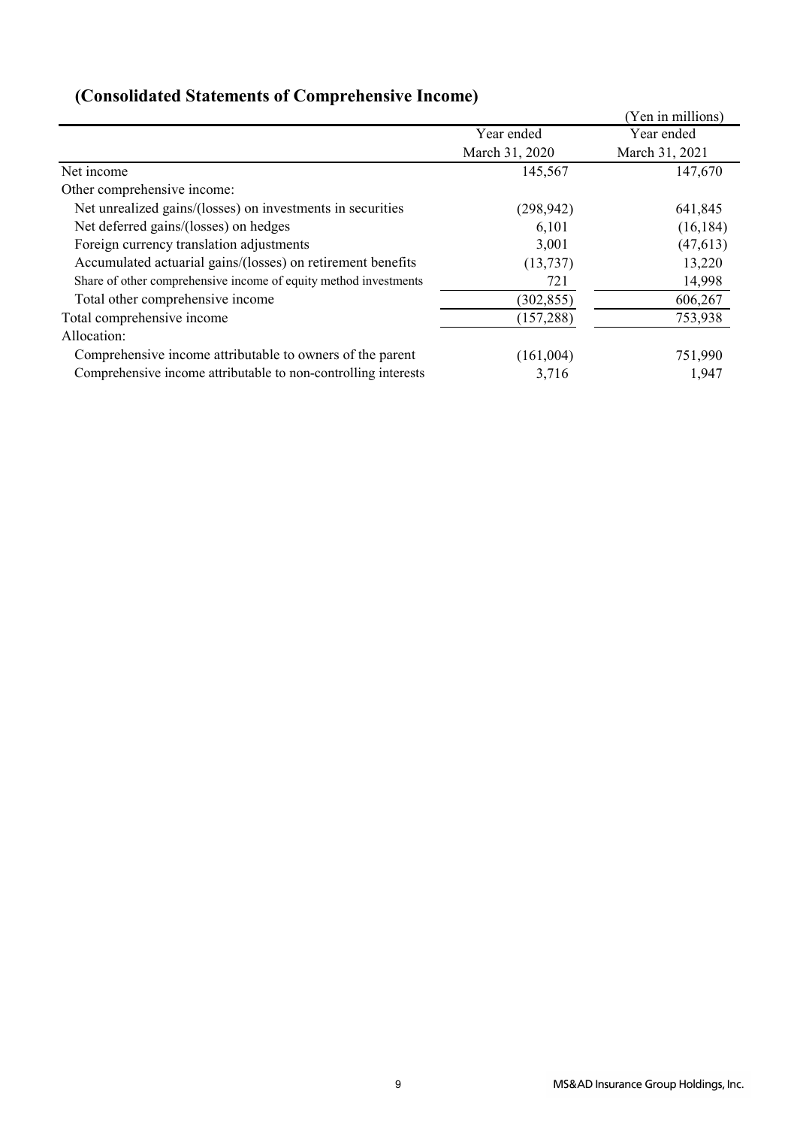|                                                                  |                | (Yen in millions) |
|------------------------------------------------------------------|----------------|-------------------|
|                                                                  | Year ended     | Year ended        |
|                                                                  | March 31, 2020 | March 31, 2021    |
| Net income                                                       | 145,567        | 147,670           |
| Other comprehensive income:                                      |                |                   |
| Net unrealized gains/(losses) on investments in securities       | (298, 942)     | 641,845           |
| Net deferred gains/(losses) on hedges                            | 6,101          | (16, 184)         |
| Foreign currency translation adjustments                         | 3,001          | (47, 613)         |
| Accumulated actuarial gains/(losses) on retirement benefits      | (13,737)       | 13,220            |
| Share of other comprehensive income of equity method investments | 721            | 14,998            |
| Total other comprehensive income                                 | (302, 855)     | 606,267           |
| Total comprehensive income                                       | (157, 288)     | 753,938           |
| Allocation:                                                      |                |                   |
| Comprehensive income attributable to owners of the parent        | (161,004)      | 751,990           |
| Comprehensive income attributable to non-controlling interests   | 3,716          | 1,947             |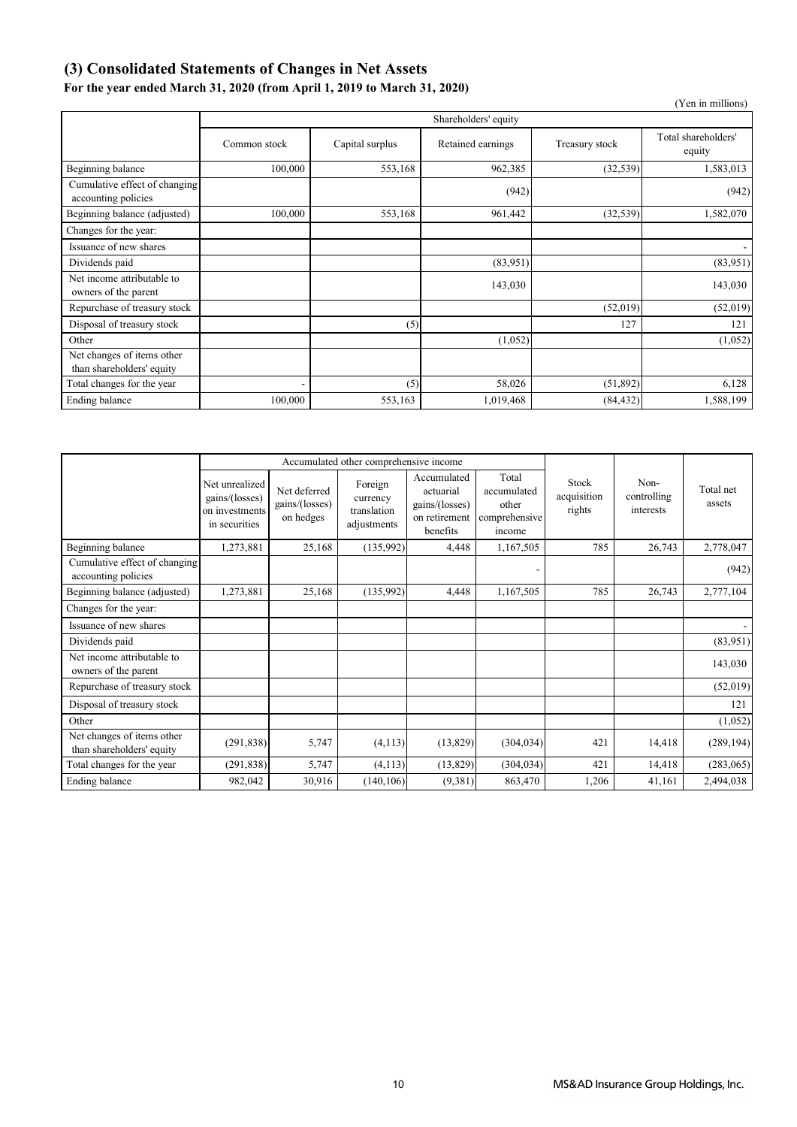## **(3) Consolidated Statements of Changes in Net Assets**

## **For the year ended March 31, 2020 (from April 1, 2019 to March 31, 2020)**

|                                                         |                      |                 |                   |                | (Yen in millions)             |  |  |  |
|---------------------------------------------------------|----------------------|-----------------|-------------------|----------------|-------------------------------|--|--|--|
|                                                         | Shareholders' equity |                 |                   |                |                               |  |  |  |
|                                                         | Common stock         | Capital surplus | Retained earnings | Treasury stock | Total shareholders'<br>equity |  |  |  |
| Beginning balance                                       | 100,000              | 553,168         | 962,385           | (32, 539)      | 1,583,013                     |  |  |  |
| Cumulative effect of changing<br>accounting policies    |                      |                 | (942)             |                | (942)                         |  |  |  |
| Beginning balance (adjusted)                            | 100,000              | 553,168         | 961,442           | (32, 539)      | 1,582,070                     |  |  |  |
| Changes for the year:                                   |                      |                 |                   |                |                               |  |  |  |
| Issuance of new shares                                  |                      |                 |                   |                |                               |  |  |  |
| Dividends paid                                          |                      |                 | (83,951)          |                | (83,951)                      |  |  |  |
| Net income attributable to<br>owners of the parent      |                      |                 | 143,030           |                | 143,030                       |  |  |  |
| Repurchase of treasury stock                            |                      |                 |                   | (52,019)       | (52, 019)                     |  |  |  |
| Disposal of treasury stock                              |                      | (5)             |                   | 127            | 121                           |  |  |  |
| Other                                                   |                      |                 | (1,052)           |                | (1,052)                       |  |  |  |
| Net changes of items other<br>than shareholders' equity |                      |                 |                   |                |                               |  |  |  |
| Total changes for the year                              | ۰                    | (5)             | 58,026            | (51, 892)      | 6,128                         |  |  |  |
| Ending balance                                          | 100,000              | 553,163         | 1,019,468         | (84, 432)      | 1,588,199                     |  |  |  |

|                                                         | Accumulated other comprehensive income                              |                                             |                                                   |                                                                         |                                                          |                                |                                  |                     |
|---------------------------------------------------------|---------------------------------------------------------------------|---------------------------------------------|---------------------------------------------------|-------------------------------------------------------------------------|----------------------------------------------------------|--------------------------------|----------------------------------|---------------------|
|                                                         | Net unrealized<br>gains/(losses)<br>on investments<br>in securities | Net deferred<br>gains/(losses)<br>on hedges | Foreign<br>currency<br>translation<br>adjustments | Accumulated<br>actuarial<br>gains/(losses)<br>on retirement<br>benefits | Total<br>accumulated<br>other<br>comprehensive<br>income | Stock<br>acquisition<br>rights | Non-<br>controlling<br>interests | Total net<br>assets |
| Beginning balance                                       | 1,273,881                                                           | 25,168                                      | (135,992)                                         | 4,448                                                                   | 1,167,505                                                | 785                            | 26,743                           | 2,778,047           |
| Cumulative effect of changing<br>accounting policies    |                                                                     |                                             |                                                   |                                                                         |                                                          |                                |                                  | (942)               |
| Beginning balance (adjusted)                            | 1,273,881                                                           | 25,168                                      | (135,992)                                         | 4,448                                                                   | 1,167,505                                                | 785                            | 26,743                           | 2,777,104           |
| Changes for the year:                                   |                                                                     |                                             |                                                   |                                                                         |                                                          |                                |                                  |                     |
| Issuance of new shares                                  |                                                                     |                                             |                                                   |                                                                         |                                                          |                                |                                  |                     |
| Dividends paid                                          |                                                                     |                                             |                                                   |                                                                         |                                                          |                                |                                  | (83,951)            |
| Net income attributable to<br>owners of the parent      |                                                                     |                                             |                                                   |                                                                         |                                                          |                                |                                  | 143,030             |
| Repurchase of treasury stock                            |                                                                     |                                             |                                                   |                                                                         |                                                          |                                |                                  | (52,019)            |
| Disposal of treasury stock                              |                                                                     |                                             |                                                   |                                                                         |                                                          |                                |                                  | 121                 |
| Other                                                   |                                                                     |                                             |                                                   |                                                                         |                                                          |                                |                                  | (1,052)             |
| Net changes of items other<br>than shareholders' equity | (291, 838)                                                          | 5,747                                       | (4, 113)                                          | (13, 829)                                                               | (304, 034)                                               | 421                            | 14,418                           | (289, 194)          |
| Total changes for the year                              | (291, 838)                                                          | 5,747                                       | (4, 113)                                          | (13,829)                                                                | (304, 034)                                               | 421                            | 14,418                           | (283,065)           |
| Ending balance                                          | 982,042                                                             | 30,916                                      | (140, 106)                                        | (9,381)                                                                 | 863,470                                                  | 1,206                          | 41,161                           | 2,494,038           |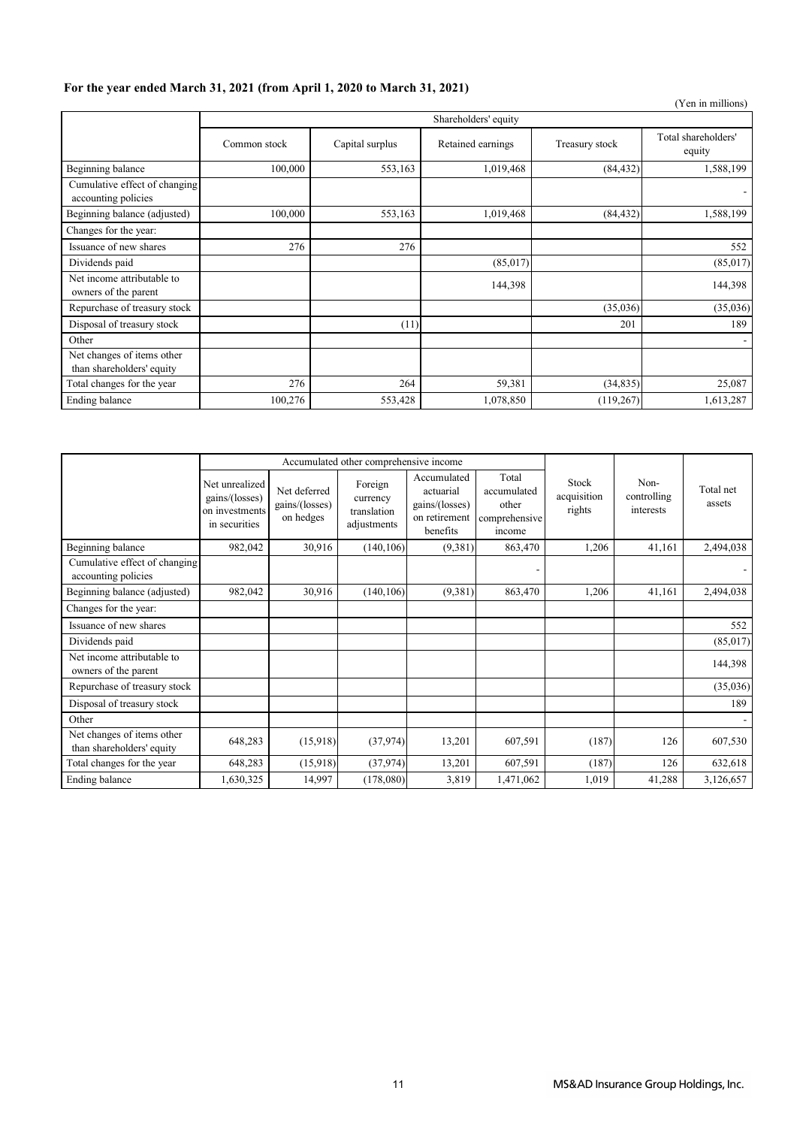## **For the year ended March 31, 2021 (from April 1, 2020 to March 31, 2021)**

|                                                         |              |                      |                   |                | (Yen in millions)             |  |  |  |  |
|---------------------------------------------------------|--------------|----------------------|-------------------|----------------|-------------------------------|--|--|--|--|
|                                                         |              | Shareholders' equity |                   |                |                               |  |  |  |  |
|                                                         | Common stock | Capital surplus      | Retained earnings | Treasury stock | Total shareholders'<br>equity |  |  |  |  |
| Beginning balance                                       | 100,000      | 553,163              | 1,019,468         | (84, 432)      | 1,588,199                     |  |  |  |  |
| Cumulative effect of changing<br>accounting policies    |              |                      |                   |                |                               |  |  |  |  |
| Beginning balance (adjusted)                            | 100,000      | 553,163              | 1,019,468         | (84, 432)      | 1,588,199                     |  |  |  |  |
| Changes for the year:                                   |              |                      |                   |                |                               |  |  |  |  |
| Issuance of new shares                                  | 276          | 276                  |                   |                | 552                           |  |  |  |  |
| Dividends paid                                          |              |                      | (85,017)          |                | (85,017)                      |  |  |  |  |
| Net income attributable to<br>owners of the parent      |              |                      | 144,398           |                | 144,398                       |  |  |  |  |
| Repurchase of treasury stock                            |              |                      |                   | (35,036)       | (35,036)                      |  |  |  |  |
| Disposal of treasury stock                              |              | (11)                 |                   | 201            | 189                           |  |  |  |  |
| Other                                                   |              |                      |                   |                |                               |  |  |  |  |
| Net changes of items other<br>than shareholders' equity |              |                      |                   |                |                               |  |  |  |  |
| Total changes for the year                              | 276          | 264                  | 59,381            | (34, 835)      | 25,087                        |  |  |  |  |
| Ending balance                                          | 100,276      | 553,428              | 1,078,850         | (119,267)      | 1,613,287                     |  |  |  |  |

|                                                         |                                                                     | Accumulated other comprehensive income      |                                                   |                                                                         |                                                          |                                |                                  |                     |
|---------------------------------------------------------|---------------------------------------------------------------------|---------------------------------------------|---------------------------------------------------|-------------------------------------------------------------------------|----------------------------------------------------------|--------------------------------|----------------------------------|---------------------|
|                                                         | Net unrealized<br>gains/(losses)<br>on investments<br>in securities | Net deferred<br>gains/(losses)<br>on hedges | Foreign<br>currency<br>translation<br>adjustments | Accumulated<br>actuarial<br>gains/(losses)<br>on retirement<br>benefits | Total<br>accumulated<br>other<br>comprehensive<br>income | Stock<br>acquisition<br>rights | Non-<br>controlling<br>interests | Total net<br>assets |
| Beginning balance                                       | 982,042                                                             | 30,916                                      | (140, 106)                                        | (9,381)                                                                 | 863,470                                                  | 1,206                          | 41,161                           | 2,494,038           |
| Cumulative effect of changing<br>accounting policies    |                                                                     |                                             |                                                   |                                                                         |                                                          |                                |                                  |                     |
| Beginning balance (adjusted)                            | 982,042                                                             | 30,916                                      | (140, 106)                                        | (9,381)                                                                 | 863,470                                                  | 1,206                          | 41,161                           | 2,494,038           |
| Changes for the year:                                   |                                                                     |                                             |                                                   |                                                                         |                                                          |                                |                                  |                     |
| Issuance of new shares                                  |                                                                     |                                             |                                                   |                                                                         |                                                          |                                |                                  | 552                 |
| Dividends paid                                          |                                                                     |                                             |                                                   |                                                                         |                                                          |                                |                                  | (85,017)            |
| Net income attributable to<br>owners of the parent      |                                                                     |                                             |                                                   |                                                                         |                                                          |                                |                                  | 144,398             |
| Repurchase of treasury stock                            |                                                                     |                                             |                                                   |                                                                         |                                                          |                                |                                  | (35,036)            |
| Disposal of treasury stock                              |                                                                     |                                             |                                                   |                                                                         |                                                          |                                |                                  | 189                 |
| Other                                                   |                                                                     |                                             |                                                   |                                                                         |                                                          |                                |                                  |                     |
| Net changes of items other<br>than shareholders' equity | 648,283                                                             | (15,918)                                    | (37, 974)                                         | 13,201                                                                  | 607,591                                                  | (187)                          | 126                              | 607,530             |
| Total changes for the year                              | 648,283                                                             | (15,918)                                    | (37, 974)                                         | 13,201                                                                  | 607,591                                                  | (187)                          | 126                              | 632,618             |
| Ending balance                                          | 1,630,325                                                           | 14,997                                      | (178,080)                                         | 3,819                                                                   | 1,471,062                                                | 1,019                          | 41,288                           | 3,126,657           |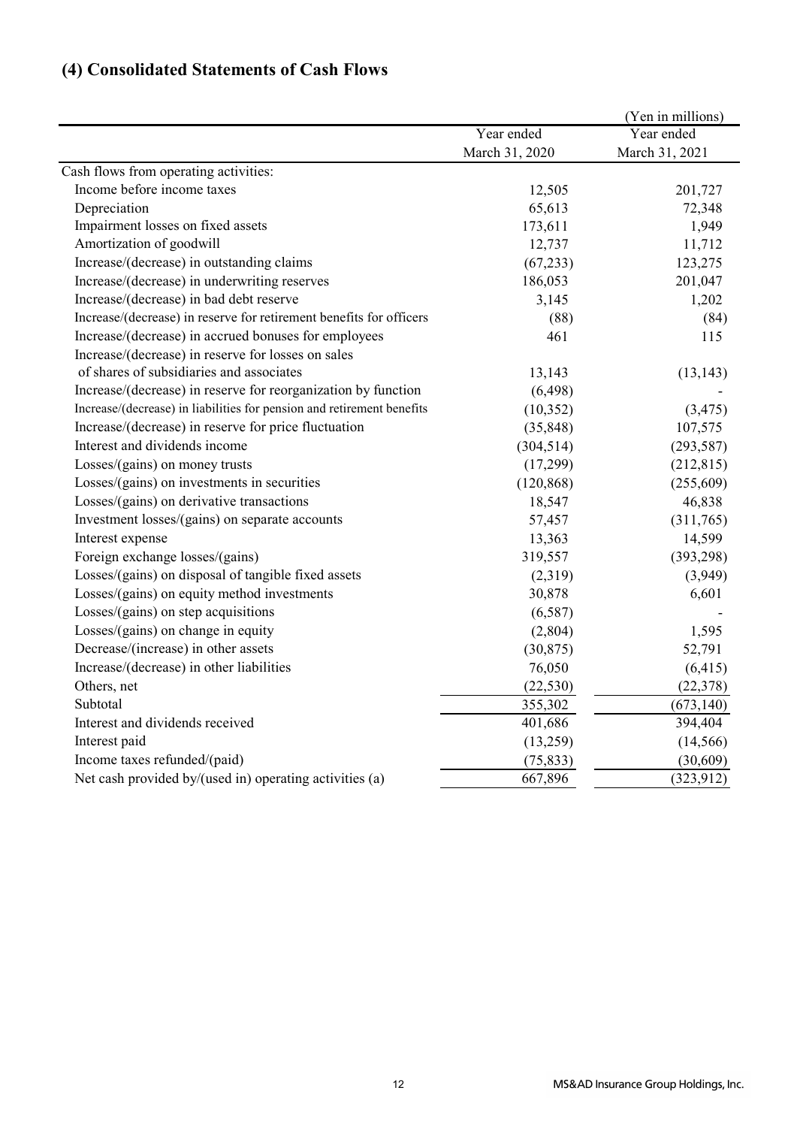# **(4) Consolidated Statements of Cash Flows**

|                                                                        |                | (Yen in millions) |
|------------------------------------------------------------------------|----------------|-------------------|
|                                                                        | Year ended     | Year ended        |
|                                                                        | March 31, 2020 | March 31, 2021    |
| Cash flows from operating activities:                                  |                |                   |
| Income before income taxes                                             | 12,505         | 201,727           |
| Depreciation                                                           | 65,613         | 72,348            |
| Impairment losses on fixed assets                                      | 173,611        | 1,949             |
| Amortization of goodwill                                               | 12,737         | 11,712            |
| Increase/(decrease) in outstanding claims                              | (67, 233)      | 123,275           |
| Increase/(decrease) in underwriting reserves                           | 186,053        | 201,047           |
| Increase/(decrease) in bad debt reserve                                | 3,145          | 1,202             |
| Increase/(decrease) in reserve for retirement benefits for officers    | (88)           | (84)              |
| Increase/(decrease) in accrued bonuses for employees                   | 461            | 115               |
| Increase/(decrease) in reserve for losses on sales                     |                |                   |
| of shares of subsidiaries and associates                               | 13,143         | (13, 143)         |
| Increase/(decrease) in reserve for reorganization by function          | (6, 498)       |                   |
| Increase/(decrease) in liabilities for pension and retirement benefits | (10, 352)      | (3, 475)          |
| Increase/(decrease) in reserve for price fluctuation                   | (35, 848)      | 107,575           |
| Interest and dividends income                                          | (304, 514)     | (293, 587)        |
| Losses/(gains) on money trusts                                         | (17,299)       | (212, 815)        |
| Losses/(gains) on investments in securities                            | (120, 868)     | (255,609)         |
| Losses/(gains) on derivative transactions                              | 18,547         | 46,838            |
| Investment losses/(gains) on separate accounts                         | 57,457         | (311,765)         |
| Interest expense                                                       | 13,363         | 14,599            |
| Foreign exchange losses/(gains)                                        | 319,557        | (393, 298)        |
| Losses/(gains) on disposal of tangible fixed assets                    | (2,319)        | (3,949)           |
| Losses/(gains) on equity method investments                            | 30,878         | 6,601             |
| Losses/(gains) on step acquisitions                                    | (6,587)        |                   |
| Losses/(gains) on change in equity                                     | (2,804)        | 1,595             |
| Decrease/(increase) in other assets                                    | (30, 875)      | 52,791            |
| Increase/(decrease) in other liabilities                               | 76,050         | (6, 415)          |
| Others, net                                                            | (22, 530)      | (22, 378)         |
| Subtotal                                                               | 355,302        | (673, 140)        |
| Interest and dividends received                                        | 401,686        | 394,404           |
| Interest paid                                                          | (13,259)       | (14, 566)         |
| Income taxes refunded/(paid)                                           | (75, 833)      | (30,609)          |
| Net cash provided by/(used in) operating activities (a)                | 667,896        | (323, 912)        |
|                                                                        |                |                   |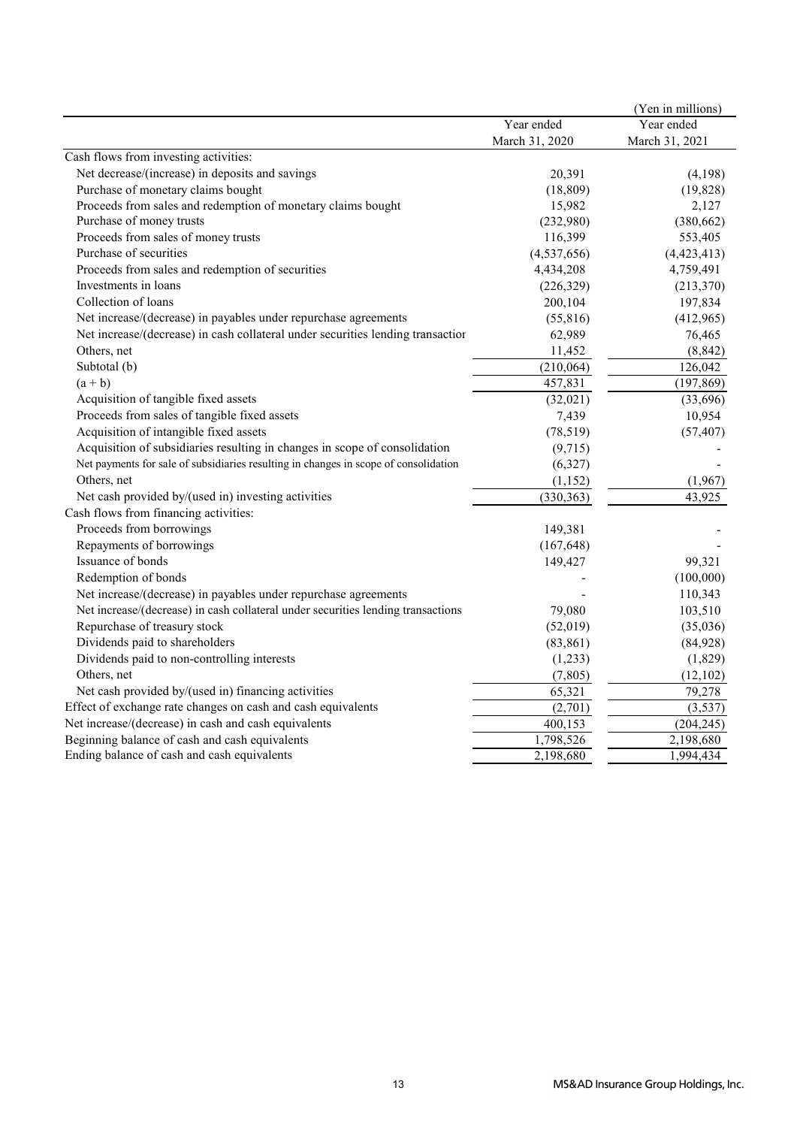|                                                                                      |                | (Yen in millions) |
|--------------------------------------------------------------------------------------|----------------|-------------------|
|                                                                                      | Year ended     | Year ended        |
|                                                                                      | March 31, 2020 | March 31, 2021    |
| Cash flows from investing activities:                                                |                |                   |
| Net decrease/(increase) in deposits and savings                                      | 20,391         | (4,198)           |
| Purchase of monetary claims bought                                                   | (18, 809)      | (19, 828)         |
| Proceeds from sales and redemption of monetary claims bought                         | 15,982         | 2,127             |
| Purchase of money trusts                                                             | (232,980)      | (380, 662)        |
| Proceeds from sales of money trusts                                                  | 116,399        | 553,405           |
| Purchase of securities                                                               | (4,537,656)    | (4,423,413)       |
| Proceeds from sales and redemption of securities                                     | 4,434,208      | 4,759,491         |
| Investments in loans                                                                 | (226, 329)     | (213,370)         |
| Collection of loans                                                                  | 200,104        | 197,834           |
| Net increase/(decrease) in payables under repurchase agreements                      | (55, 816)      | (412,965)         |
| Net increase/(decrease) in cash collateral under securities lending transaction      | 62,989         | 76,465            |
| Others, net                                                                          | 11,452         | (8, 842)          |
| Subtotal (b)                                                                         | (210, 064)     | 126,042           |
| $(a + b)$                                                                            | 457,831        | (197, 869)        |
| Acquisition of tangible fixed assets                                                 | (32,021)       | (33,696)          |
| Proceeds from sales of tangible fixed assets                                         | 7,439          | 10,954            |
| Acquisition of intangible fixed assets                                               | (78, 519)      | (57, 407)         |
| Acquisition of subsidiaries resulting in changes in scope of consolidation           | (9,715)        |                   |
| Net payments for sale of subsidiaries resulting in changes in scope of consolidation | (6,327)        |                   |
| Others, net                                                                          | (1,152)        | (1,967)           |
| Net cash provided by/(used in) investing activities                                  | (330, 363)     | 43,925            |
| Cash flows from financing activities:                                                |                |                   |
| Proceeds from borrowings                                                             | 149,381        |                   |
| Repayments of borrowings                                                             | (167, 648)     |                   |
| Issuance of bonds                                                                    | 149,427        | 99,321            |
| Redemption of bonds                                                                  |                | (100,000)         |
| Net increase/(decrease) in payables under repurchase agreements                      |                | 110,343           |
| Net increase/(decrease) in cash collateral under securities lending transactions     | 79,080         | 103,510           |
| Repurchase of treasury stock                                                         | (52,019)       | (35,036)          |
| Dividends paid to shareholders                                                       | (83, 861)      | (84,928)          |
| Dividends paid to non-controlling interests                                          | (1,233)        | (1,829)           |
| Others, net                                                                          | (7, 805)       | (12, 102)         |
| Net cash provided by/(used in) financing activities                                  | 65,321         | 79,278            |
| Effect of exchange rate changes on cash and cash equivalents                         | (2,701)        | (3,537)           |
| Net increase/(decrease) in cash and cash equivalents                                 | 400,153        | (204, 245)        |
| Beginning balance of cash and cash equivalents                                       | 1,798,526      | 2,198,680         |
| Ending balance of cash and cash equivalents                                          | 2,198,680      | 1,994,434         |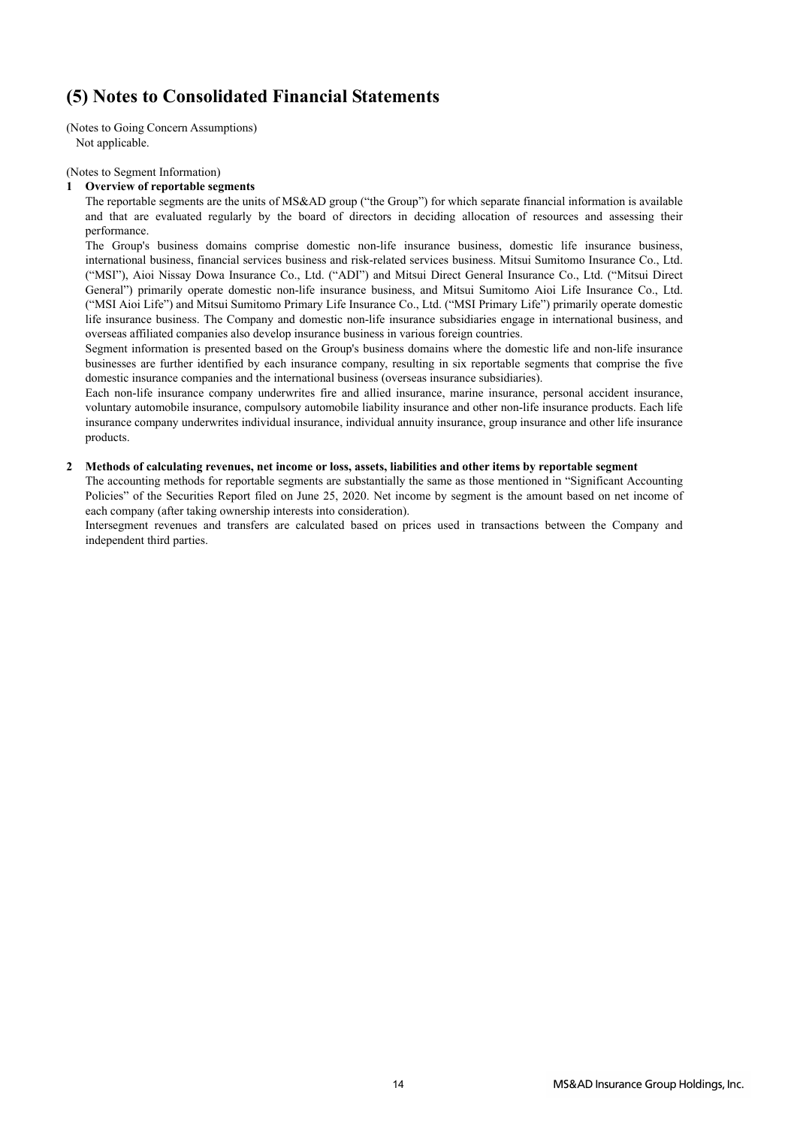# **(5) Notes to Consolidated Financial Statements**

(Notes to Going Concern Assumptions) Not applicable.

(Notes to Segment Information)

#### **1 Overview of reportable segments**

The reportable segments are the units of MS&AD group ("the Group") for which separate financial information is available and that are evaluated regularly by the board of directors in deciding allocation of resources and assessing their performance.

The Group's business domains comprise domestic non-life insurance business, domestic life insurance business, international business, financial services business and risk-related services business. Mitsui Sumitomo Insurance Co., Ltd. ("MSI"), Aioi Nissay Dowa Insurance Co., Ltd. ("ADI") and Mitsui Direct General Insurance Co., Ltd. ("Mitsui Direct General") primarily operate domestic non-life insurance business, and Mitsui Sumitomo Aioi Life Insurance Co., Ltd. ("MSI Aioi Life") and Mitsui Sumitomo Primary Life Insurance Co., Ltd. ("MSI Primary Life") primarily operate domestic life insurance business. The Company and domestic non-life insurance subsidiaries engage in international business, and overseas affiliated companies also develop insurance business in various foreign countries.

Segment information is presented based on the Group's business domains where the domestic life and non-life insurance businesses are further identified by each insurance company, resulting in six reportable segments that comprise the five domestic insurance companies and the international business (overseas insurance subsidiaries).

Each non-life insurance company underwrites fire and allied insurance, marine insurance, personal accident insurance, voluntary automobile insurance, compulsory automobile liability insurance and other non-life insurance products. Each life insurance company underwrites individual insurance, individual annuity insurance, group insurance and other life insurance products.

### **2 Methods of calculating revenues, net income or loss, assets, liabilities and other items by reportable segment**

The accounting methods for reportable segments are substantially the same as those mentioned in "Significant Accounting Policies" of the Securities Report filed on June 25, 2020. Net income by segment is the amount based on net income of each company (after taking ownership interests into consideration).

Intersegment revenues and transfers are calculated based on prices used in transactions between the Company and independent third parties.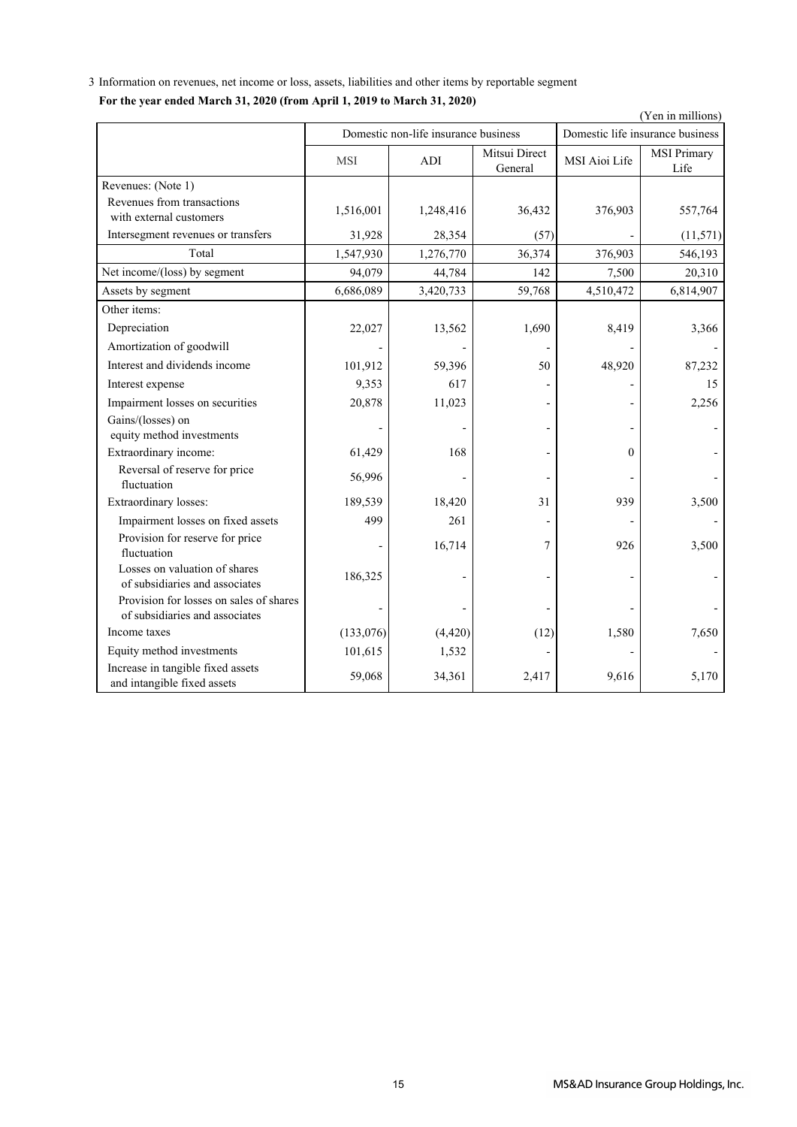3 Information on revenues, net income or loss, assets, liabilities and other items by reportable segment **For the year ended March 31, 2020 (from April 1, 2019 to March 31, 2020)**

|                                                                           |            | Domestic non-life insurance business | (Yen in millions)<br>Domestic life insurance business |               |                     |  |  |
|---------------------------------------------------------------------------|------------|--------------------------------------|-------------------------------------------------------|---------------|---------------------|--|--|
|                                                                           |            |                                      |                                                       |               |                     |  |  |
|                                                                           | <b>MSI</b> | ADI                                  | Mitsui Direct<br>General                              | MSI Aioi Life | MSI Primary<br>Life |  |  |
| Revenues: (Note 1)                                                        |            |                                      |                                                       |               |                     |  |  |
| Revenues from transactions<br>with external customers                     | 1,516,001  | 1,248,416                            | 36,432                                                | 376,903       | 557,764             |  |  |
| Intersegment revenues or transfers                                        | 31,928     | 28,354                               | (57)                                                  |               | (11,571)            |  |  |
| Total                                                                     | 1,547,930  | 1,276,770                            | 36,374                                                | 376,903       | 546,193             |  |  |
| Net income/(loss) by segment                                              | 94,079     | 44,784                               | 142                                                   | 7,500         | 20,310              |  |  |
| Assets by segment                                                         | 6,686,089  | 3,420,733                            | 59,768                                                | 4,510,472     | 6,814,907           |  |  |
| Other items:                                                              |            |                                      |                                                       |               |                     |  |  |
| Depreciation                                                              | 22,027     | 13,562                               | 1,690                                                 | 8,419         | 3,366               |  |  |
| Amortization of goodwill                                                  |            |                                      |                                                       |               |                     |  |  |
| Interest and dividends income                                             | 101,912    | 59,396                               | 50                                                    | 48,920        | 87,232              |  |  |
| Interest expense                                                          | 9,353      | 617                                  |                                                       |               | 15                  |  |  |
| Impairment losses on securities                                           | 20,878     | 11,023                               |                                                       |               | 2,256               |  |  |
| Gains/(losses) on<br>equity method investments                            |            |                                      |                                                       |               |                     |  |  |
| Extraordinary income:                                                     | 61,429     | 168                                  |                                                       | $\theta$      |                     |  |  |
| Reversal of reserve for price<br>fluctuation                              | 56,996     |                                      |                                                       |               |                     |  |  |
| Extraordinary losses:                                                     | 189,539    | 18,420                               | 31                                                    | 939           | 3,500               |  |  |
| Impairment losses on fixed assets                                         | 499        | 261                                  |                                                       |               |                     |  |  |
| Provision for reserve for price<br>fluctuation                            |            | 16,714                               | 7                                                     | 926           | 3,500               |  |  |
| Losses on valuation of shares<br>of subsidiaries and associates           | 186,325    |                                      |                                                       |               |                     |  |  |
| Provision for losses on sales of shares<br>of subsidiaries and associates |            |                                      |                                                       |               |                     |  |  |
| Income taxes                                                              | (133,076)  | (4, 420)                             | (12)                                                  | 1,580         | 7,650               |  |  |
| Equity method investments                                                 | 101,615    | 1,532                                |                                                       |               |                     |  |  |
| Increase in tangible fixed assets<br>and intangible fixed assets          | 59,068     | 34,361                               | 2,417                                                 | 9,616         | 5,170               |  |  |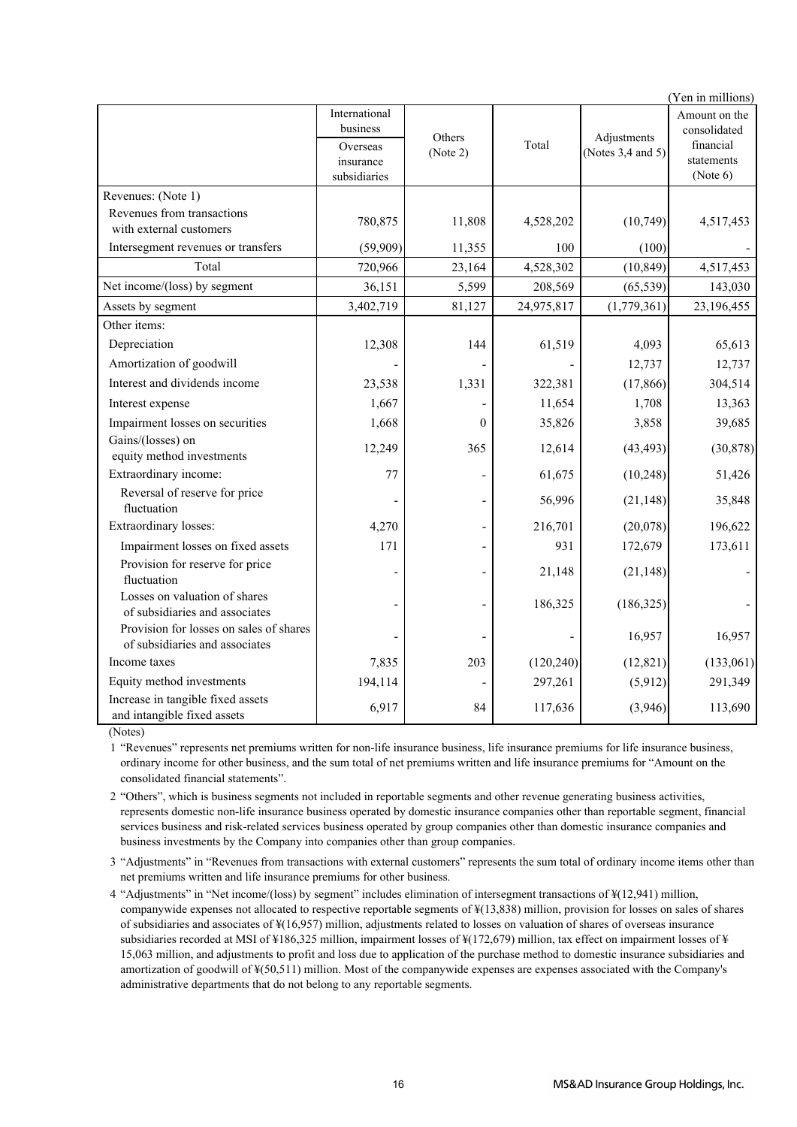|                                                                           | (Yen in millions)                     |          |            |                        |                                     |  |  |  |  |
|---------------------------------------------------------------------------|---------------------------------------|----------|------------|------------------------|-------------------------------------|--|--|--|--|
|                                                                           | International<br>business             | Others   |            | Adjustments            | Amount on the<br>consolidated       |  |  |  |  |
|                                                                           | Overseas<br>insurance<br>subsidiaries | (Note 2) | Total      | (Notes $3,4$ and $5$ ) | financial<br>statements<br>(Note 6) |  |  |  |  |
| Revenues: (Note 1)                                                        |                                       |          |            |                        |                                     |  |  |  |  |
| Revenues from transactions<br>with external customers                     | 780,875                               | 11,808   | 4,528,202  | (10, 749)              | 4,517,453                           |  |  |  |  |
| Intersegment revenues or transfers                                        | (59,909)                              | 11,355   | 100        | (100)                  |                                     |  |  |  |  |
| Total                                                                     | 720,966                               | 23,164   | 4,528,302  | (10, 849)              | 4,517,453                           |  |  |  |  |
| Net income/(loss) by segment                                              | 36,151                                | 5,599    | 208,569    | (65, 539)              | 143,030                             |  |  |  |  |
| Assets by segment                                                         | 3,402,719                             | 81,127   | 24,975,817 | (1,779,361)            | 23,196,455                          |  |  |  |  |
| Other items:                                                              |                                       |          |            |                        |                                     |  |  |  |  |
| Depreciation                                                              | 12,308                                | 144      | 61,519     | 4,093                  | 65,613                              |  |  |  |  |
| Amortization of goodwill                                                  |                                       |          |            | 12,737                 | 12,737                              |  |  |  |  |
| Interest and dividends income                                             | 23,538                                | 1,331    | 322,381    | (17, 866)              | 304,514                             |  |  |  |  |
| Interest expense                                                          | 1,667                                 |          | 11,654     | 1,708                  | 13,363                              |  |  |  |  |
| Impairment losses on securities                                           | 1,668                                 | $\Omega$ | 35,826     | 3,858                  | 39,685                              |  |  |  |  |
| Gains/(losses) on<br>equity method investments                            | 12,249                                | 365      | 12,614     | (43, 493)              | (30, 878)                           |  |  |  |  |
| Extraordinary income:                                                     | 77                                    |          | 61,675     | (10, 248)              | 51,426                              |  |  |  |  |
| Reversal of reserve for price<br>fluctuation                              |                                       |          | 56,996     | (21, 148)              | 35,848                              |  |  |  |  |
| Extraordinary losses:                                                     | 4,270                                 |          | 216,701    | (20,078)               | 196,622                             |  |  |  |  |
| Impairment losses on fixed assets                                         | 171                                   |          | 931        | 172,679                | 173,611                             |  |  |  |  |
| Provision for reserve for price<br>fluctuation                            |                                       | ÷        | 21,148     | (21, 148)              |                                     |  |  |  |  |
| Losses on valuation of shares<br>of subsidiaries and associates           |                                       |          | 186,325    | (186, 325)             |                                     |  |  |  |  |
| Provision for losses on sales of shares<br>of subsidiaries and associates |                                       |          |            | 16,957                 | 16,957                              |  |  |  |  |
| Income taxes                                                              | 7,835                                 | 203      | (120, 240) | (12, 821)              | (133,061)                           |  |  |  |  |
| Equity method investments                                                 | 194,114                               |          | 297,261    | (5,912)                | 291,349                             |  |  |  |  |
| Increase in tangible fixed assets<br>and intangible fixed assets          | 6,917                                 | 84       | 117,636    | (3,946)                | 113,690                             |  |  |  |  |

(Notes)

1 "Revenues" represents net premiums written for non-life insurance business, life insurance premiums for life insurance business, ordinary income for other business, and the sum total of net premiums written and life insurance premiums for "Amount on the consolidated financial statements".

2 "Others", which is business segments not included in reportable segments and other revenue generating business activities, represents domestic non-life insurance business operated by domestic insurance companies other than reportable segment, financial services business and risk-related services business operated by group companies other than domestic insurance companies and business investments by the Company into companies other than group companies.

3 "Adjustments" in "Revenues from transactions with external customers" represents the sum total of ordinary income items other than net premiums written and life insurance premiums for other business.

4 "Adjustments" in "Net income/(loss) by segment" includes elimination of intersegment transactions of ¥(12,941) million, companywide expenses not allocated to respective reportable segments of ¥(13,838) million, provision for losses on sales of shares of subsidiaries and associates of ¥(16,957) million, adjustments related to losses on valuation of shares of overseas insurance subsidiaries recorded at MSI of ¥186,325 million, impairment losses of ¥(172,679) million, tax effect on impairment losses of ¥ 15,063 million, and adjustments to profit and loss due to application of the purchase method to domestic insurance subsidiaries and amortization of goodwill of ¥(50,511) million. Most of the companywide expenses are expenses associated with the Company's administrative departments that do not belong to any reportable segments.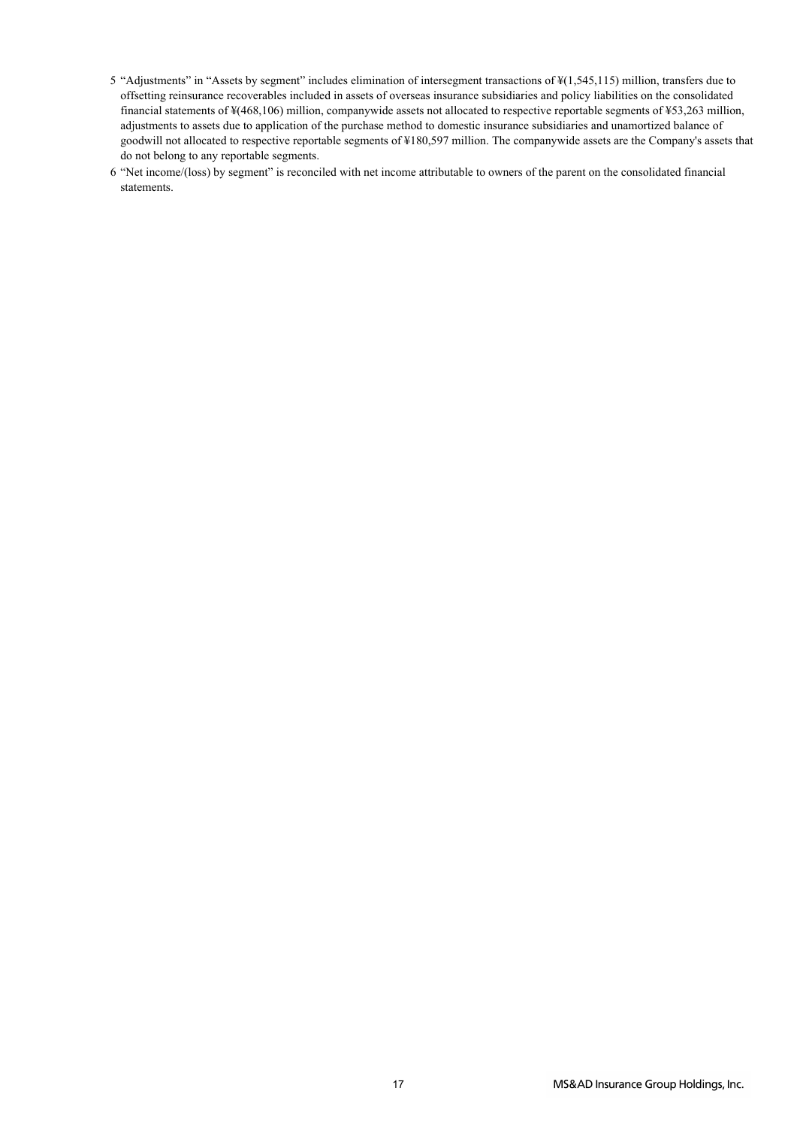- 5 "Adjustments" in "Assets by segment" includes elimination of intersegment transactions of ¥(1,545,115) million, transfers due to offsetting reinsurance recoverables included in assets of overseas insurance subsidiaries and policy liabilities on the consolidated financial statements of ¥(468,106) million, companywide assets not allocated to respective reportable segments of ¥53,263 million, adjustments to assets due to application of the purchase method to domestic insurance subsidiaries and unamortized balance of goodwill not allocated to respective reportable segments of ¥180,597 million. The companywide assets are the Company's assets that do not belong to any reportable segments.
- 6 "Net income/(loss) by segment" is reconciled with net income attributable to owners of the parent on the consolidated financial statements.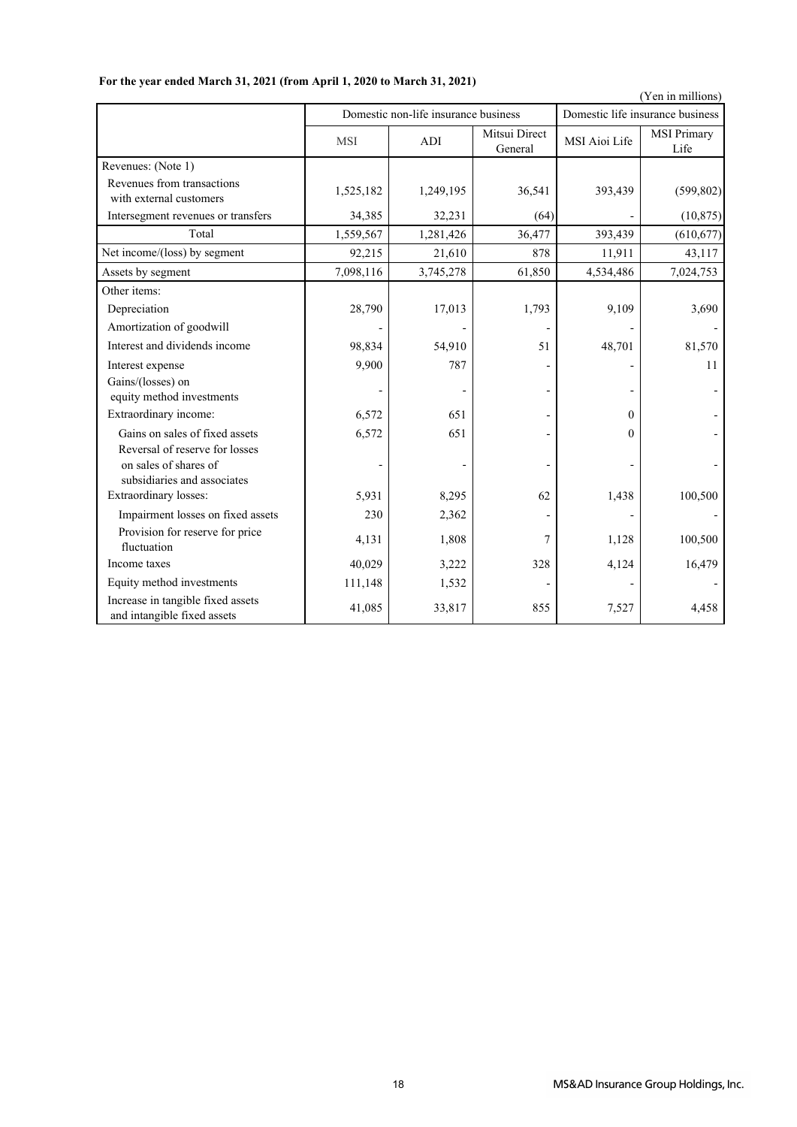|                                                                                        |            |                                      |                          |               | (Yen in millions)                |  |  |
|----------------------------------------------------------------------------------------|------------|--------------------------------------|--------------------------|---------------|----------------------------------|--|--|
|                                                                                        |            | Domestic non-life insurance business |                          |               | Domestic life insurance business |  |  |
|                                                                                        | <b>MSI</b> | ADI                                  | Mitsui Direct<br>General | MSI Aioi Life | <b>MSI Primary</b><br>Life       |  |  |
| Revenues: (Note 1)                                                                     |            |                                      |                          |               |                                  |  |  |
| Revenues from transactions<br>with external customers                                  | 1,525,182  | 1,249,195                            | 36,541                   | 393,439       | (599, 802)                       |  |  |
| Intersegment revenues or transfers                                                     | 34,385     | 32,231                               | (64)                     |               | (10, 875)                        |  |  |
| Total                                                                                  | 1,559,567  | 1,281,426                            | 36,477                   | 393,439       | (610, 677)                       |  |  |
| Net income/(loss) by segment                                                           | 92,215     | 21,610                               | 878                      | 11,911        | 43,117                           |  |  |
| Assets by segment                                                                      | 7,098,116  | 3,745,278                            | 61,850                   | 4,534,486     | 7,024,753                        |  |  |
| Other items:                                                                           |            |                                      |                          |               |                                  |  |  |
| Depreciation                                                                           | 28,790     | 17,013                               | 1,793                    | 9,109         | 3,690                            |  |  |
| Amortization of goodwill                                                               |            |                                      |                          |               |                                  |  |  |
| Interest and dividends income                                                          | 98,834     | 54,910                               | 51                       | 48,701        | 81,570                           |  |  |
| Interest expense                                                                       | 9,900      | 787                                  |                          |               | 11                               |  |  |
| Gains/(losses) on<br>equity method investments                                         |            |                                      |                          |               |                                  |  |  |
| Extraordinary income:                                                                  | 6,572      | 651                                  |                          | $\Omega$      |                                  |  |  |
| Gains on sales of fixed assets                                                         | 6,572      | 651                                  |                          | $\theta$      |                                  |  |  |
| Reversal of reserve for losses<br>on sales of shares of<br>subsidiaries and associates |            |                                      |                          |               |                                  |  |  |
| Extraordinary losses:                                                                  | 5,931      | 8,295                                | 62                       | 1,438         | 100,500                          |  |  |
| Impairment losses on fixed assets                                                      | 230        | 2,362                                |                          |               |                                  |  |  |
| Provision for reserve for price<br>fluctuation                                         | 4,131      | 1,808                                | 7                        | 1,128         | 100,500                          |  |  |
| Income taxes                                                                           | 40,029     | 3,222                                | 328                      | 4,124         | 16,479                           |  |  |
| Equity method investments                                                              | 111,148    | 1,532                                |                          |               |                                  |  |  |
| Increase in tangible fixed assets<br>and intangible fixed assets                       | 41,085     | 33,817                               | 855                      | 7,527         | 4,458                            |  |  |

## **For the year ended March 31, 2021 (from April 1, 2020 to March 31, 2021)**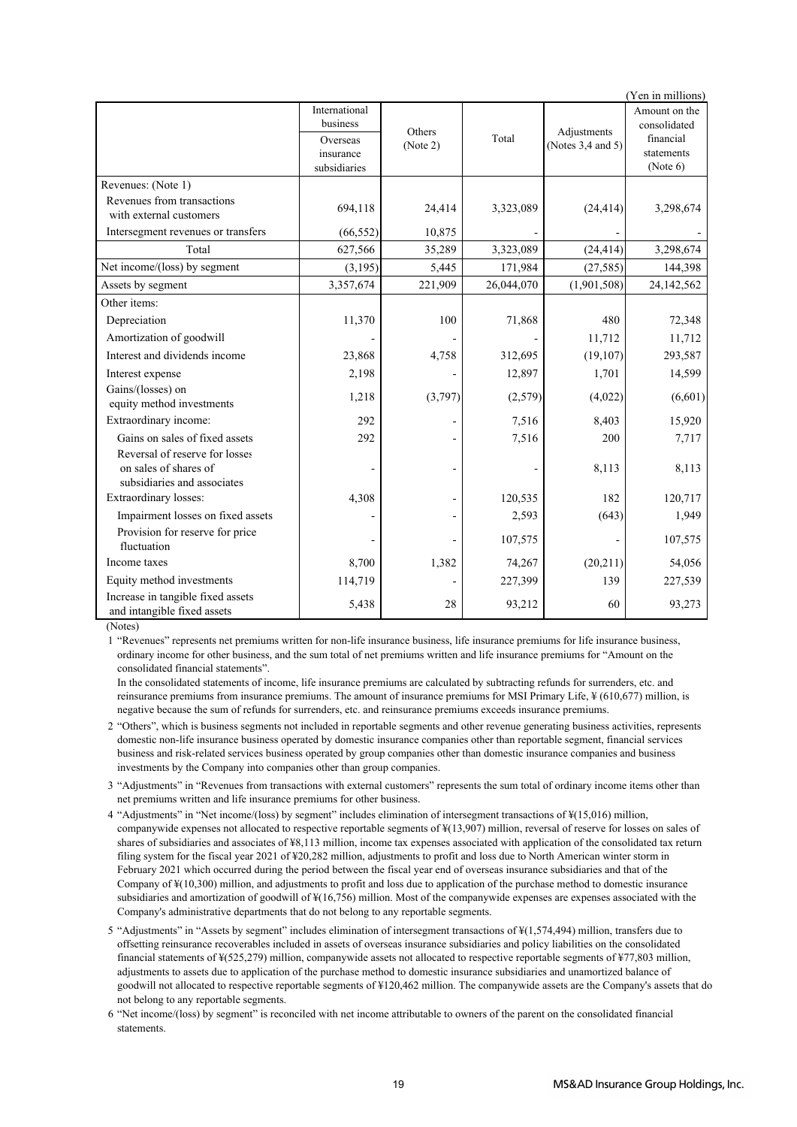| (Yen in millions)                                                                      |                                                                    |                    |            |                                  |                                                                      |  |  |
|----------------------------------------------------------------------------------------|--------------------------------------------------------------------|--------------------|------------|----------------------------------|----------------------------------------------------------------------|--|--|
|                                                                                        | International<br>business<br>Overseas<br>insurance<br>subsidiaries | Others<br>(Note 2) | Total      | Adjustments<br>(Notes 3,4 and 5) | Amount on the<br>consolidated<br>financial<br>statements<br>(Note 6) |  |  |
| Revenues: (Note 1)                                                                     |                                                                    |                    |            |                                  |                                                                      |  |  |
| Revenues from transactions<br>with external customers                                  | 694,118                                                            | 24,414             | 3,323,089  | (24, 414)                        | 3,298,674                                                            |  |  |
| Intersegment revenues or transfers                                                     | (66, 552)                                                          | 10,875             |            |                                  |                                                                      |  |  |
| Total                                                                                  | 627,566                                                            | 35,289             | 3,323,089  | (24, 414)                        | 3,298,674                                                            |  |  |
| Net income/(loss) by segment                                                           | (3, 195)                                                           | 5,445              | 171,984    | (27, 585)                        | 144,398                                                              |  |  |
| Assets by segment                                                                      | 3,357,674                                                          | 221,909            | 26,044,070 | (1,901,508)                      | 24,142,562                                                           |  |  |
| Other items:                                                                           |                                                                    |                    |            |                                  |                                                                      |  |  |
| Depreciation                                                                           | 11,370                                                             | 100                | 71,868     | 480                              | 72,348                                                               |  |  |
| Amortization of goodwill                                                               |                                                                    |                    |            | 11,712                           | 11,712                                                               |  |  |
| Interest and dividends income                                                          | 23,868                                                             | 4,758              | 312,695    | (19, 107)                        | 293,587                                                              |  |  |
| Interest expense                                                                       | 2,198                                                              |                    | 12,897     | 1,701                            | 14,599                                                               |  |  |
| Gains/(losses) on<br>equity method investments                                         | 1,218                                                              | (3,797)            | (2,579)    | (4,022)                          | (6,601)                                                              |  |  |
| Extraordinary income:                                                                  | 292                                                                |                    | 7,516      | 8,403                            | 15,920                                                               |  |  |
| Gains on sales of fixed assets                                                         | 292                                                                |                    | 7,516      | 200                              | 7,717                                                                |  |  |
| Reversal of reserve for losses<br>on sales of shares of<br>subsidiaries and associates |                                                                    |                    |            | 8,113                            | 8,113                                                                |  |  |
| Extraordinary losses:                                                                  | 4,308                                                              |                    | 120,535    | 182                              | 120,717                                                              |  |  |
| Impairment losses on fixed assets                                                      |                                                                    |                    | 2,593      | (643)                            | 1,949                                                                |  |  |
| Provision for reserve for price<br>fluctuation                                         |                                                                    |                    | 107,575    |                                  | 107,575                                                              |  |  |
| Income taxes                                                                           | 8,700                                                              | 1,382              | 74,267     | (20, 211)                        | 54,056                                                               |  |  |
| Equity method investments                                                              | 114,719                                                            |                    | 227,399    | 139                              | 227,539                                                              |  |  |
| Increase in tangible fixed assets<br>and intangible fixed assets                       | 5,438                                                              | 28                 | 93,212     | 60                               | 93,273                                                               |  |  |

(Notes)

1 "Revenues" represents net premiums written for non-life insurance business, life insurance premiums for life insurance business, ordinary income for other business, and the sum total of net premiums written and life insurance premiums for "Amount on the consolidated financial statements".

In the consolidated statements of income, life insurance premiums are calculated by subtracting refunds for surrenders, etc. and reinsurance premiums from insurance premiums. The amount of insurance premiums for MSI Primary Life, ¥ (610,677) million, is negative because the sum of refunds for surrenders, etc. and reinsurance premiums exceeds insurance premiums.

2 "Others", which is business segments not included in reportable segments and other revenue generating business activities, represents domestic non-life insurance business operated by domestic insurance companies other than reportable segment, financial services business and risk-related services business operated by group companies other than domestic insurance companies and business investments by the Company into companies other than group companies.

- 3 "Adjustments" in "Revenues from transactions with external customers" represents the sum total of ordinary income items other than net premiums written and life insurance premiums for other business.
- 4 "Adjustments" in "Net income/(loss) by segment" includes elimination of intersegment transactions of ¥(15,016) million, companywide expenses not allocated to respective reportable segments of ¥(13,907) million, reversal of reserve for losses on sales of shares of subsidiaries and associates of ¥8,113 million, income tax expenses associated with application of the consolidated tax return filing system for the fiscal year 2021 of ¥20,282 million, adjustments to profit and loss due to North American winter storm in February 2021 which occurred during the period between the fiscal year end of overseas insurance subsidiaries and that of the Company of ¥(10,300) million, and adjustments to profit and loss due to application of the purchase method to domestic insurance subsidiaries and amortization of goodwill of ¥(16,756) million. Most of the companywide expenses are expenses associated with the Company's administrative departments that do not belong to any reportable segments.

5 "Adjustments" in "Assets by segment" includes elimination of intersegment transactions of ¥(1,574,494) million, transfers due to offsetting reinsurance recoverables included in assets of overseas insurance subsidiaries and policy liabilities on the consolidated financial statements of ¥(525,279) million, companywide assets not allocated to respective reportable segments of ¥77,803 million, adjustments to assets due to application of the purchase method to domestic insurance subsidiaries and unamortized balance of goodwill not allocated to respective reportable segments of ¥120,462 million. The companywide assets are the Company's assets that do not belong to any reportable segments.

6 "Net income/(loss) by segment" is reconciled with net income attributable to owners of the parent on the consolidated financial statements.